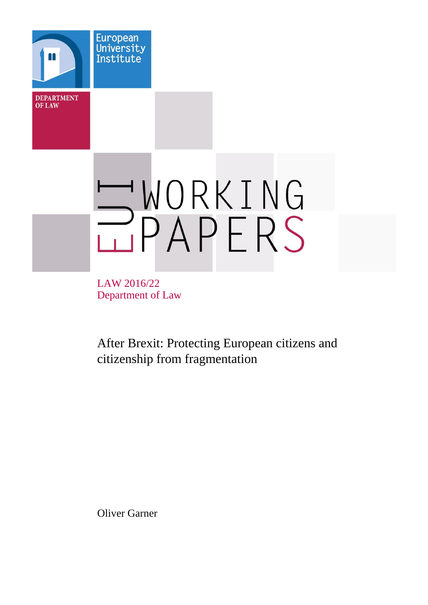

LAW 2016/22 Department of Law

After Brexit: Protecting European citizens and citizenship from fragmentation

Oliver Garner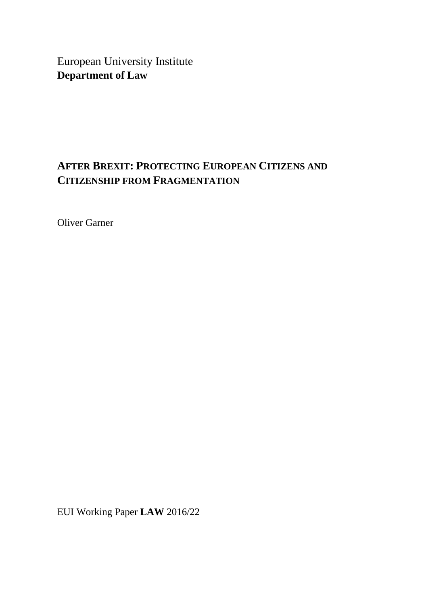European University Institute **Department of Law**

# **AFTER BREXIT: PROTECTING EUROPEAN CITIZENS AND CITIZENSHIP FROM FRAGMENTATION**

Oliver Garner

EUI Working Paper **LAW** 2016/22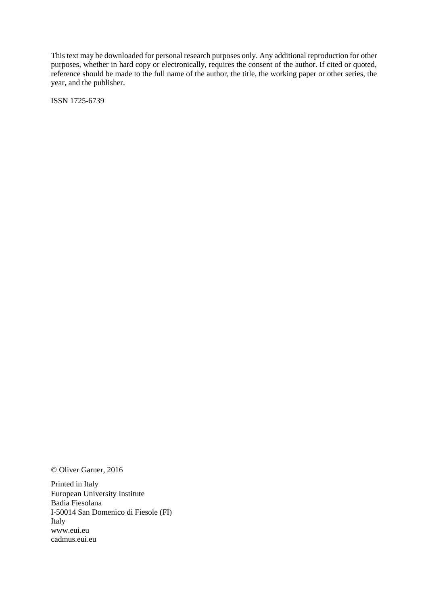This text may be downloaded for personal research purposes only. Any additional reproduction for other purposes, whether in hard copy or electronically, requires the consent of the author. If cited or quoted, reference should be made to the full name of the author, the title, the working paper or other series, the year, and the publisher.

ISSN 1725-6739

© Oliver Garner, 2016

Printed in Italy European University Institute Badia Fiesolana I-50014 San Domenico di Fiesole (FI) Italy [www.eui.eu](http://www.eui.eu/) [cadmus.eui.eu](http://cadmus.eui.eu/dspace/index.jsp)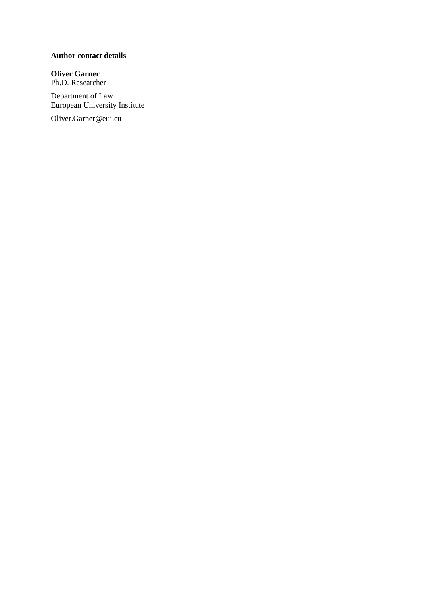## **Author contact details**

**Oliver Garner** Ph.D. Researcher

Department of Law European University Institute

Oliver.Garner@eui.eu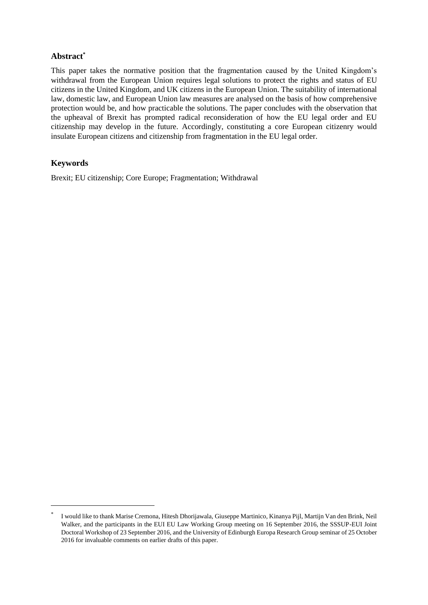# **Abstract\***

This paper takes the normative position that the fragmentation caused by the United Kingdom's withdrawal from the European Union requires legal solutions to protect the rights and status of EU citizens in the United Kingdom, and UK citizens in the European Union. The suitability of international law, domestic law, and European Union law measures are analysed on the basis of how comprehensive protection would be, and how practicable the solutions. The paper concludes with the observation that the upheaval of Brexit has prompted radical reconsideration of how the EU legal order and EU citizenship may develop in the future. Accordingly, constituting a core European citizenry would insulate European citizens and citizenship from fragmentation in the EU legal order.

# **Keywords**

l

Brexit; EU citizenship; Core Europe; Fragmentation; Withdrawal

<sup>\*</sup> I would like to thank Marise Cremona, Hitesh Dhorijawala, Giuseppe Martinico, Kinanya Pijl, Martijn Van den Brink, Neil Walker, and the participants in the EUI EU Law Working Group meeting on 16 September 2016, the SSSUP-EUI Joint Doctoral Workshop of 23 September 2016, and the University of Edinburgh Europa Research Group seminar of 25 October 2016 for invaluable comments on earlier drafts of this paper.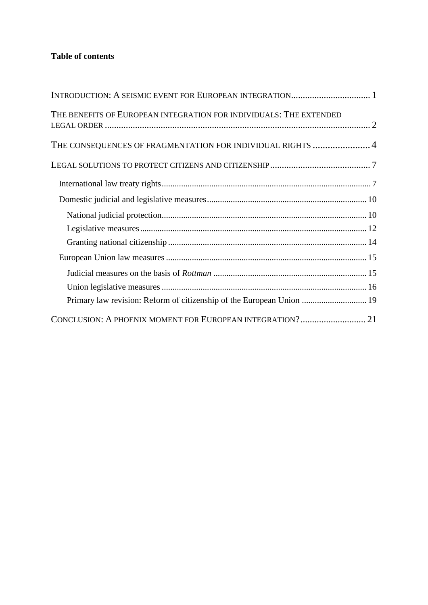# **Table of contents**

| THE BENEFITS OF EUROPEAN INTEGRATION FOR INDIVIDUALS: THE EXTENDED    |  |
|-----------------------------------------------------------------------|--|
| THE CONSEQUENCES OF FRAGMENTATION FOR INDIVIDUAL RIGHTS 4             |  |
|                                                                       |  |
|                                                                       |  |
|                                                                       |  |
|                                                                       |  |
|                                                                       |  |
|                                                                       |  |
|                                                                       |  |
|                                                                       |  |
|                                                                       |  |
| Primary law revision: Reform of citizenship of the European Union  19 |  |
|                                                                       |  |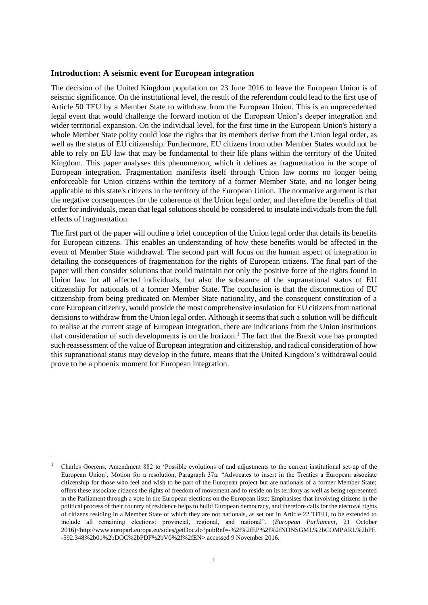#### <span id="page-8-0"></span>**Introduction: A seismic event for European integration**

The decision of the United Kingdom population on 23 June 2016 to leave the European Union is of seismic significance. On the institutional level, the result of the referendum could lead to the first use of Article 50 TEU by a Member State to withdraw from the European Union. This is an unprecedented legal event that would challenge the forward motion of the European Union's deeper integration and wider territorial expansion. On the individual level, for the first time in the European Union's history a whole Member State polity could lose the rights that its members derive from the Union legal order, as well as the status of EU citizenship. Furthermore, EU citizens from other Member States would not be able to rely on EU law that may be fundamental to their life plans within the territory of the United Kingdom. This paper analyses this phenomenon, which it defines as fragmentation in the scope of European integration. Fragmentation manifests itself through Union law norms no longer being enforceable for Union citizens within the territory of a former Member State, and no longer being applicable to this state's citizens in the territory of the European Union. The normative argument is that the negative consequences for the coherence of the Union legal order, and therefore the benefits of that order for individuals, mean that legal solutions should be considered to insulate individuals from the full effects of fragmentation.

The first part of the paper will outline a brief conception of the Union legal order that details its benefits for European citizens. This enables an understanding of how these benefits would be affected in the event of Member State withdrawal. The second part will focus on the human aspect of integration in detailing the consequences of fragmentation for the rights of European citizens. The final part of the paper will then consider solutions that could maintain not only the positive force of the rights found in Union law for all affected individuals, but also the substance of the supranational status of EU citizenship for nationals of a former Member State. The conclusion is that the disconnection of EU citizenship from being predicated on Member State nationality, and the consequent constitution of a core European citizenry, would provide the most comprehensive insulation for EU citizens from national decisions to withdraw from the Union legal order. Although it seems that such a solution will be difficult to realise at the current stage of European integration, there are indications from the Union institutions that consideration of such developments is on the horizon.<sup>1</sup> The fact that the Brexit vote has prompted such reassessment of the value of European integration and citizenship, and radical consideration of how this supranational status may develop in the future, means that the United Kingdom's withdrawal could prove to be a phoenix moment for European integration.

 $\overline{\phantom{a}}$ 

<sup>1</sup> Charles Goerens, Amendment 882 to 'Possible evolutions of and adjustments to the current institutional set-up of the European Union', Motion for a resolution, Paragraph 37a: "Advocates to insert in the Treaties a European associate citizenship for those who feel and wish to be part of the European project but are nationals of a former Member State; offers these associate citizens the rights of freedom of movement and to reside on its territory as well as being represented in the Parliament through a vote in the European elections on the European lists; Emphasises that involving citizens in the political process of their country of residence helps to build European democracy, and therefore calls for the electoral rights of citizens residing in a Member State of which they are not nationals, as set out in Article 22 TFEU, to be extended to include all remaining elections: provincial, regional, and national". (*European Parliament*, 21 October 2016)<http://www.europarl.europa.eu/sides/getDoc.do?pubRef=-%2f%2fEP%2f%2fNONSGML%2bCOMPARL%2bPE -592.348%2b01%2bDOC%2bPDF%2bV0%2f%2fEN> accessed 9 November 2016.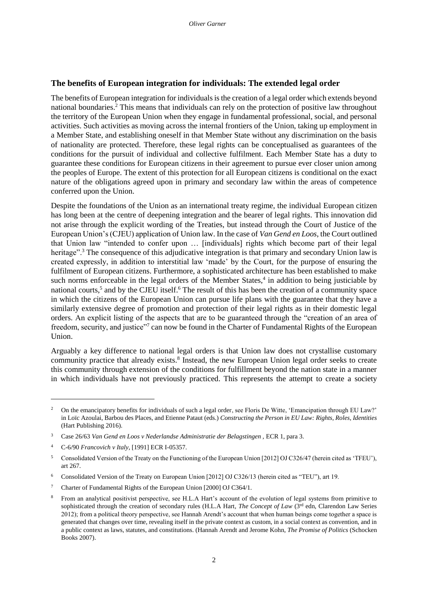## <span id="page-9-0"></span>**The benefits of European integration for individuals: The extended legal order**

The benefits of European integration for individuals is the creation of a legal order which extends beyond national boundaries.<sup>2</sup> This means that individuals can rely on the protection of positive law throughout the territory of the European Union when they engage in fundamental professional, social, and personal activities. Such activities as moving across the internal frontiers of the Union, taking up employment in a Member State, and establishing oneself in that Member State without any discrimination on the basis of nationality are protected. Therefore, these legal rights can be conceptualised as guarantees of the conditions for the pursuit of individual and collective fulfilment. Each Member State has a duty to guarantee these conditions for European citizens in their agreement to pursue ever closer union among the peoples of Europe. The extent of this protection for all European citizens is conditional on the exact nature of the obligations agreed upon in primary and secondary law within the areas of competence conferred upon the Union.

Despite the foundations of the Union as an international treaty regime, the individual European citizen has long been at the centre of deepening integration and the bearer of legal rights. This innovation did not arise through the explicit wording of the Treaties, but instead through the Court of Justice of the European Union's (CJEU) application of Union law. In the case of *Van Gend en Loos*, the Court outlined that Union law "intended to confer upon … [individuals] rights which become part of their legal heritage".<sup>3</sup> The consequence of this adjudicative integration is that primary and secondary Union law is created expressly, in addition to interstitial law 'made' by the Court, for the purpose of ensuring the fulfilment of European citizens. Furthermore, a sophisticated architecture has been established to make such norms enforceable in the legal orders of the Member States,<sup>4</sup> in addition to being justiciable by national courts,<sup>5</sup> and by the CJEU itself.<sup>6</sup> The result of this has been the creation of a community space in which the citizens of the European Union can pursue life plans with the guarantee that they have a similarly extensive degree of promotion and protection of their legal rights as in their domestic legal orders. An explicit listing of the aspects that are to be guaranteed through the "creation of an area of freedom, security, and justice"<sup>7</sup> can now be found in the Charter of Fundamental Rights of the European Union.

Arguably a key difference to national legal orders is that Union law does not crystallise customary community practice that already exists.<sup>8</sup> Instead, the new European Union legal order seeks to create this community through extension of the conditions for fulfillment beyond the nation state in a manner in which individuals have not previously practiced. This represents the attempt to create a society

<sup>&</sup>lt;sup>2</sup> On the emancipatory benefits for individuals of such a legal order, see Floris De Witte, 'Emancipation through EU Law?' in Loïc Azoulai, Barbou des Places, and Etienne Pataut (eds.) *Constructing the Person in EU Law: Rights, Roles, Identities*  (Hart Publishing 2016).

<sup>&</sup>lt;sup>3</sup> Case 26/63 *Van Gend en Loos v Nederlandse Administratie der Belagstingen*, ECR 1, para 3.

<sup>4</sup> C-6/90 *Francovich v Italy*, [1991] ECR I-05357.

<sup>5</sup> Consolidated Version of the Treaty on the Functioning of the European Union [2012] OJ C326/47 (herein cited as 'TFEU'), art 267.

<sup>6</sup> Consolidated Version of the Treaty on European Union [2012] OJ C326/13 (herein cited as "TEU"), art 19.

<sup>7</sup> Charter of Fundamental Rights of the European Union [2000] OJ C364/1.

<sup>&</sup>lt;sup>8</sup> From an analytical positivist perspective, see H.L.A Hart's account of the evolution of legal systems from primitive to sophisticated through the creation of secondary rules (H.L.A Hart, *The Concept of Law* (3<sup>rd</sup> edn, Clarendon Law Series 2012); from a political theory perspective, see Hannah Arendt's account that when human beings come together a space is generated that changes over time, revealing itself in the private context as custom, in a social context as convention, and in a public context as laws, statutes, and constitutions. (Hannah Arendt and Jerome Kohn, *The Promise of Politics* (Schocken Books 2007).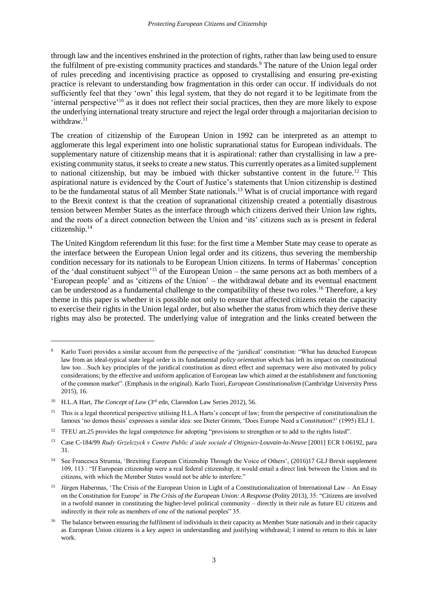through law and the incentives enshrined in the protection of rights, rather than law being used to ensure the fulfilment of pre-existing community practices and standards.<sup>9</sup> The nature of the Union legal order of rules preceding and incentivising practice as opposed to crystallising and ensuring pre-existing practice is relevant to understanding how fragmentation in this order can occur. If individuals do not sufficiently feel that they 'own' this legal system, that they do not regard it to be legitimate from the 'internal perspective'<sup>10</sup> as it does not reflect their social practices, then they are more likely to expose the underlying international treaty structure and reject the legal order through a majoritarian decision to withdraw.<sup>11</sup>

The creation of citizenship of the European Union in 1992 can be interpreted as an attempt to agglomerate this legal experiment into one holistic supranational status for European individuals. The supplementary nature of citizenship means that it is aspirational: rather than crystallising in law a preexisting community status, it seeks to create a new status. This currently operates as a limited supplement to national citizenship, but may be imbued with thicker substantive content in the future.<sup>12</sup> This aspirational nature is evidenced by the Court of Justice's statements that Union citizenship is destined to be the fundamental status of all Member State nationals.<sup>13</sup> What is of crucial importance with regard to the Brexit context is that the creation of supranational citizenship created a potentially disastrous tension between Member States as the interface through which citizens derived their Union law rights, and the roots of a direct connection between the Union and 'its' citizens such as is present in federal citizenship.<sup>14</sup>

The United Kingdom referendum lit this fuse: for the first time a Member State may cease to operate as the interface between the European Union legal order and its citizens, thus severing the membership condition necessary for its nationals to be European Union citizens. In terms of Habermas' conception of the 'dual constituent subject'<sup>15</sup> of the European Union – the same persons act as both members of a 'European people' and as 'citizens of the Union' – the withdrawal debate and its eventual enactment can be understood as a fundamental challenge to the compatibility of these two roles.<sup>16</sup> Therefore, a key theme in this paper is whether it is possible not only to ensure that affected citizens retain the capacity to exercise their rights in the Union legal order, but also whether the status from which they derive these rights may also be protected. The underlying value of integration and the links created between the

<sup>9</sup> Karlo Tuori provides a similar account from the perspective of the 'juridical' constitution: "What has detached European law from an ideal-typical state legal order is its fundamental *policy orientation* which has left its impact on constitutional law too…Such key principles of the juridical constitution as direct effect and supremacy were also motivated by policy considerations; by the effective and uniform application of European law which aimed at the establishment and functioning of the common market". (Emphasis in the original). Karlo Tuori, *European Constitutionalism* (Cambridge University Press 2015), 16.

<sup>&</sup>lt;sup>10</sup> H.L.A Hart, *The Concept of Law* (3<sup>rd</sup> edn, Clarendon Law Series 2012), 56.

<sup>&</sup>lt;sup>11</sup> This is a legal theoretical perspective utilising H.L.A Harts's concept of law; from the perspective of constitutionalism the famous 'no demos thesis' expresses a similar idea: see Dieter Grimm, 'Does Europe Need a Constitution?' (1995) ELJ 1.

<sup>&</sup>lt;sup>12</sup> TFEU art.25 provides the legal competence for adopting "provisions to strengthen or to add to the rights listed".

<sup>13</sup> Case C-184/99 *Rudy Grzelczyck v Centre Public d'aide sociale d'Ottignies-Louvain-la-Neuve* [2001] ECR I-06192, para 31.

<sup>&</sup>lt;sup>14</sup> See Francesca Strumia, 'Brexiting European Citizenship Through the Voice of Others', (2016)17 GLJ Brexit supplement 109, 113 : "If European citizenship were a real federal citizenship, it would entail a direct link between the Union and its citizens, with which the Member States would not be able to interfere."

<sup>&</sup>lt;sup>15</sup> Jürgen Habermas, 'The Crisis of the European Union in Light of a Constitutionalization of International Law – An Essay on the Constitution for Europe' in *The Crisis of the European Union: A Response* (Polity 2013), 35: "Citizens are involved in a twofold manner in constituting the higher-level political community – directly in their rule as future EU citizens and indirectly in their role as members of one of the national peoples" 35.

<sup>&</sup>lt;sup>16</sup> The balance between ensuring the fulfilment of individuals in their capacity as Member State nationals and in their capacity as European Union citizens is a key aspect in understanding and justifying withdrawal; I intend to return to this in later work.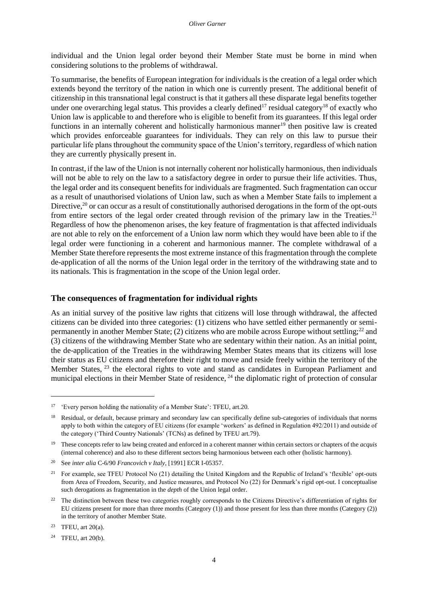individual and the Union legal order beyond their Member State must be borne in mind when considering solutions to the problems of withdrawal.

To summarise, the benefits of European integration for individuals is the creation of a legal order which extends beyond the territory of the nation in which one is currently present. The additional benefit of citizenship in this transnational legal construct is that it gathers all these disparate legal benefits together under one overarching legal status. This provides a clearly defined<sup>17</sup> residual category<sup>18</sup> of exactly who Union law is applicable to and therefore who is eligible to benefit from its guarantees. If this legal order functions in an internally coherent and holistically harmonious manner<sup>19</sup> then positive law is created which provides enforceable guarantees for individuals. They can rely on this law to pursue their particular life plans throughout the community space of the Union's territory, regardless of which nation they are currently physically present in.

In contrast, if the law of the Union is not internally coherent nor holistically harmonious, then individuals will not be able to rely on the law to a satisfactory degree in order to pursue their life activities. Thus, the legal order and its consequent benefits for individuals are fragmented. Such fragmentation can occur as a result of unauthorised violations of Union law, such as when a Member State fails to implement a Directive,<sup>20</sup> or can occur as a result of constitutionally authorised derogations in the form of the opt-outs from entire sectors of the legal order created through revision of the primary law in the Treaties.<sup>21</sup> Regardless of how the phenomenon arises, the key feature of fragmentation is that affected individuals are not able to rely on the enforcement of a Union law norm which they would have been able to if the legal order were functioning in a coherent and harmonious manner. The complete withdrawal of a Member State therefore represents the most extreme instance of this fragmentation through the complete de-application of all the norms of the Union legal order in the territory of the withdrawing state and to its nationals. This is fragmentation in the scope of the Union legal order.

#### <span id="page-11-0"></span>**The consequences of fragmentation for individual rights**

As an initial survey of the positive law rights that citizens will lose through withdrawal, the affected citizens can be divided into three categories: (1) citizens who have settled either permanently or semipermanently in another Member State; (2) citizens who are mobile across Europe without settling;<sup>22</sup> and (3) citizens of the withdrawing Member State who are sedentary within their nation. As an initial point, the de-application of the Treaties in the withdrawing Member States means that its citizens will lose their status as EU citizens and therefore their right to move and reside freely within the territory of the Member States, <sup>23</sup> the electoral rights to vote and stand as candidates in European Parliament and municipal elections in their Member State of residence, <sup>24</sup> the diplomatic right of protection of consular

<sup>&</sup>lt;sup>17</sup> 'Every person holding the nationality of a Member State': TFEU, art.20.

<sup>&</sup>lt;sup>18</sup> Residual, or default, because primary and secondary law can specifically define sub-categories of individuals that norms apply to both within the category of EU citizens (for example 'workers' as defined in Regulation 492/2011) and outside of the category ('Third Country Nationals' (TCNs) as defined by TFEU art.79).

<sup>19</sup> These concepts refer to law being created and enforced in a coherent manner within certain sectors or chapters of the *acquis*  (internal coherence) and also to these different sectors being harmonious between each other (holistic harmony).

<sup>20</sup> See *inter alia* C-6/90 *Francovich v Italy*, [1991] ECR I-05357.

<sup>&</sup>lt;sup>21</sup> For example, see TFEU Protocol No  $(21)$  detailing the United Kingdom and the Republic of Ireland's 'flexible' opt-outs from Area of Freedom, Security, and Justice measures, and Protocol No (22) for Denmark's rigid opt-out. I conceptualise such derogations as fragmentation in the *depth* of the Union legal order.

<sup>&</sup>lt;sup>22</sup> The distinction between these two categories roughly corresponds to the Citizens Directive's differentiation of rights for EU citizens present for more than three months (Category (1)) and those present for less than three months (Category (2)) in the territory of another Member State.

<sup>23</sup> TFEU, art 20(a).

<sup>24</sup> TFEU, art 20(b).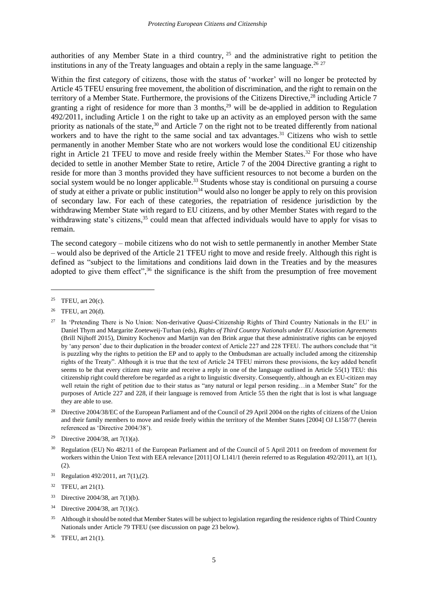authorities of any Member State in a third country, <sup>25</sup> and the administrative right to petition the institutions in any of the Treaty languages and obtain a reply in the same language.<sup>26 27</sup>

Within the first category of citizens, those with the status of 'worker' will no longer be protected by Article 45 TFEU ensuring free movement, the abolition of discrimination, and the right to remain on the territory of a Member State. Furthermore, the provisions of the Citizens Directive,<sup>28</sup> including Article 7 granting a right of residence for more than  $\overline{3}$  months,<sup>29</sup> will be de-applied in addition to Regulation 492/2011, including Article 1 on the right to take up an activity as an employed person with the same priority as nationals of the state,<sup>30</sup> and Article 7 on the right not to be treated differently from national workers and to have the right to the same social and tax advantages.<sup>31</sup> Citizens who wish to settle permanently in another Member State who are not workers would lose the conditional EU citizenship right in Article 21 TFEU to move and reside freely within the Member States.<sup>32</sup> For those who have decided to settle in another Member State to retire, Article 7 of the 2004 Directive granting a right to reside for more than 3 months provided they have sufficient resources to not become a burden on the social system would be no longer applicable.<sup>33</sup> Students whose stay is conditional on pursuing a course of study at either a private or public institution<sup>34</sup> would also no longer be apply to rely on this provision of secondary law. For each of these categories, the repatriation of residence jurisdiction by the withdrawing Member State with regard to EU citizens, and by other Member States with regard to the withdrawing state's citizens,<sup>35</sup> could mean that affected individuals would have to apply for visas to remain.

The second category – mobile citizens who do not wish to settle permanently in another Member State – would also be deprived of the Article 21 TFEU right to move and reside freely. Although this right is defined as "subject to the limitations and conditions laid down in the Treaties and by the measures adopted to give them effect", $36$  the significance is the shift from the presumption of free movement

- <sup>33</sup> Directive 2004/38, art 7(1)(b).
- <sup>34</sup> Directive 2004/38, art 7(1)(c).
- <sup>35</sup> Although it should be noted that Member States will be subject to legislation regarding the residence rights of Third Country Nationals under Article 79 TFEU (see discussion on page 23 below).

<sup>&</sup>lt;sup>25</sup> TFEU, art  $20(c)$ .

<sup>26</sup> TFEU, art 20(d).

<sup>27</sup> In 'Pretending There is No Union: Non-derivative *Quasi*-Citizenship Rights of Third Country Nationals in the EU' in Daniel Thym and Margarite Zoeteweij-Turhan (eds), *Rights of Third Country Nationals under EU Association Agreements* (Brill Nijhoff 2015), Dimitry Kochenov and Martijn van den Brink argue that these administrative rights can be enjoyed by 'any person' due to their duplication in the broader context of Article 227 and 228 TFEU. The authors conclude that "it is puzzling why the rights to petition the EP and to apply to the Ombudsman are actually included among the citizenship rights of the Treaty". Although it is true that the text of Article 24 TFEU mirrors these provisions, the key added benefit seems to be that every citizen may write and receive a reply in one of the language outlined in Article 55(1) TEU: this citizenship right could therefore be regarded as a right to linguistic diversity. Consequently, although an ex EU-citizen may well retain the right of petition due to their status as "any natural or legal person residing…in a Member State" for the purposes of Article 227 and 228, if their language is removed from Article 55 then the right that is lost is what language they are able to use.

<sup>&</sup>lt;sup>28</sup> Directive 2004/38/EC of the European Parliament and of the Council of 29 April 2004 on the rights of citizens of the Union and their family members to move and reside freely within the territory of the Member States [2004] OJ L158/77 (herein referenced as 'Directive 2004/38').

<sup>&</sup>lt;sup>29</sup> Directive 2004/38, art  $7(1)(a)$ .

<sup>&</sup>lt;sup>30</sup> Regulation (EU) No 482/11 of the European Parliament and of the Council of 5 April 2011 on freedom of movement for workers within the Union Text with EEA relevance [2011] OJ L141/1 (herein referred to as Regulation 492/2011), art 1(1), (2).

<sup>&</sup>lt;sup>31</sup> Regulation 492/2011, art  $7(1)$ , (2).

 $32$  TFEU, art 21(1).

<sup>36</sup> TFEU, art 21(1).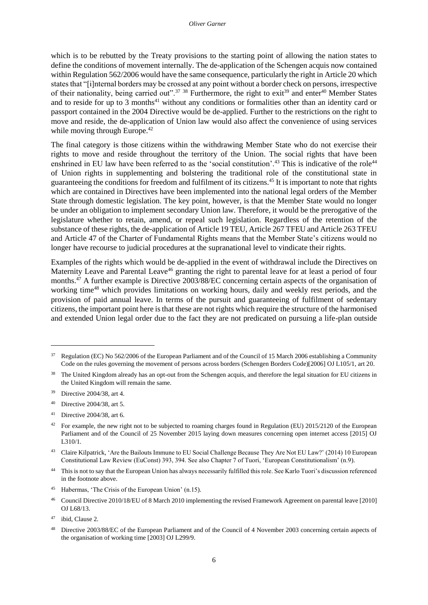which is to be rebutted by the Treaty provisions to the starting point of allowing the nation states to define the conditions of movement internally. The de-application of the Schengen acquis now contained within Regulation 562/2006 would have the same consequence, particularly the right in Article 20 which states that "[i]nternal borders may be crossed at any point without a border check on persons, irrespective of their nationality, being carried out".<sup>37</sup> <sup>38</sup> Furthermore, the right to exit<sup>39</sup> and enter<sup>40</sup> Member States and to reside for up to 3 months<sup>41</sup> without any conditions or formalities other than an identity card or passport contained in the 2004 Directive would be de-applied. Further to the restrictions on the right to move and reside, the de-application of Union law would also affect the convenience of using services while moving through Europe.<sup>42</sup>

The final category is those citizens within the withdrawing Member State who do not exercise their rights to move and reside throughout the territory of the Union. The social rights that have been enshrined in EU law have been referred to as the 'social constitution'.<sup>43</sup> This is indicative of the role<sup>44</sup> of Union rights in supplementing and bolstering the traditional role of the constitutional state in guaranteeing the conditions for freedom and fulfilment of its citizens.<sup>45</sup> It is important to note that rights which are contained in Directives have been implemented into the national legal orders of the Member State through domestic legislation. The key point, however, is that the Member State would no longer be under an obligation to implement secondary Union law. Therefore, it would be the prerogative of the legislature whether to retain, amend, or repeal such legislation. Regardless of the retention of the substance of these rights, the de-application of Article 19 TEU, Article 267 TFEU and Article 263 TFEU and Article 47 of the Charter of Fundamental Rights means that the Member State's citizens would no longer have recourse to judicial procedures at the supranational level to vindicate their rights.

Examples of the rights which would be de-applied in the event of withdrawal include the Directives on Maternity Leave and Parental Leave<sup>46</sup> granting the right to parental leave for at least a period of four months.<sup>47</sup> A further example is Directive 2003/88/EC concerning certain aspects of the organisation of working time<sup>48</sup> which provides limitations on working hours, daily and weekly rest periods, and the provision of paid annual leave. In terms of the pursuit and guaranteeing of fulfilment of sedentary citizens, the important point here is that these are not rights which require the structure of the harmonised and extended Union legal order due to the fact they are not predicated on pursuing a life-plan outside

- <sup>40</sup> Directive 2004/38, art 5.
- <sup>41</sup> Directive 2004/38, art 6.

<sup>&</sup>lt;sup>37</sup> Regulation (EC) No 562/2006 of the European Parliament and of the Council of 15 March 2006 establishing a Community Code on the rules governing the movement of persons across borders (Schengen Borders Code)[2006] OJ L105/1, art 20.

<sup>&</sup>lt;sup>38</sup> The United Kingdom already has an opt-out from the Schengen acquis, and therefore the legal situation for EU citizens in the United Kingdom will remain the same.

<sup>39</sup> Directive 2004/38, art 4.

<sup>&</sup>lt;sup>42</sup> For example, the new right not to be subjected to roaming charges found in Regulation (EU) 2015/2120 of the European Parliament and of the Council of 25 November 2015 laying down measures concerning open internet access [2015] OJ L310/1.

<sup>&</sup>lt;sup>43</sup> Claire Kilpatrick, 'Are the Bailouts Immune to EU Social Challenge Because They Are Not EU Law?' (2014) 10 European Constitutional Law Review (EuConst) 393, 394. See also Chapter 7 of Tuori, 'European Constitutionalism' (n.9).

<sup>44</sup> This is not to say that the European Union has always necessarily fulfilled this role. See Karlo Tuori's discussion referenced in the footnote above.

<sup>45</sup> Habermas, 'The Crisis of the European Union' (n.15).

<sup>46</sup> Council Directive 2010/18/EU of 8 March 2010 implementing the revised Framework Agreement on parental leave [2010] OJ L68/13.

<sup>47</sup> ibid, Clause 2.

<sup>48</sup> Directive 2003/88/EC of the European Parliament and of the Council of 4 November 2003 concerning certain aspects of the organisation of working time [2003] OJ L299/9.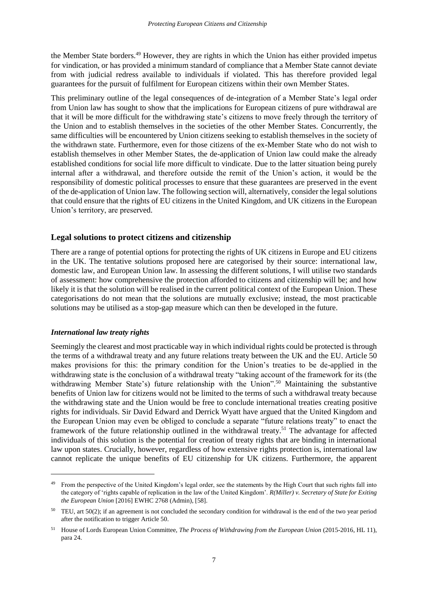the Member State borders.<sup>49</sup> However, they are rights in which the Union has either provided impetus for vindication, or has provided a minimum standard of compliance that a Member State cannot deviate from with judicial redress available to individuals if violated. This has therefore provided legal guarantees for the pursuit of fulfilment for European citizens within their own Member States.

This preliminary outline of the legal consequences of de-integration of a Member State's legal order from Union law has sought to show that the implications for European citizens of pure withdrawal are that it will be more difficult for the withdrawing state's citizens to move freely through the territory of the Union and to establish themselves in the societies of the other Member States. Concurrently, the same difficulties will be encountered by Union citizens seeking to establish themselves in the society of the withdrawn state. Furthermore, even for those citizens of the ex-Member State who do not wish to establish themselves in other Member States, the de-application of Union law could make the already established conditions for social life more difficult to vindicate. Due to the latter situation being purely internal after a withdrawal, and therefore outside the remit of the Union's action, it would be the responsibility of domestic political processes to ensure that these guarantees are preserved in the event of the de-application of Union law. The following section will, alternatively, consider the legal solutions that could ensure that the rights of EU citizens in the United Kingdom, and UK citizens in the European Union's territory, are preserved.

## <span id="page-14-0"></span>**Legal solutions to protect citizens and citizenship**

There are a range of potential options for protecting the rights of UK citizens in Europe and EU citizens in the UK. The tentative solutions proposed here are categorised by their source: international law, domestic law, and European Union law. In assessing the different solutions, I will utilise two standards of assessment: how comprehensive the protection afforded to citizens and citizenship will be; and how likely it is that the solution will be realised in the current political context of the European Union. These categorisations do not mean that the solutions are mutually exclusive; instead, the most practicable solutions may be utilised as a stop-gap measure which can then be developed in the future.

## <span id="page-14-1"></span>*International law treaty rights*

 $\overline{\phantom{a}}$ 

Seemingly the clearest and most practicable way in which individual rights could be protected is through the terms of a withdrawal treaty and any future relations treaty between the UK and the EU. Article 50 makes provisions for this: the primary condition for the Union's treaties to be de-applied in the withdrawing state is the conclusion of a withdrawal treaty "taking account of the framework for its (the withdrawing Member State's) future relationship with the Union".<sup>50</sup> Maintaining the substantive benefits of Union law for citizens would not be limited to the terms of such a withdrawal treaty because the withdrawing state and the Union would be free to conclude international treaties creating positive rights for individuals. Sir David Edward and Derrick Wyatt have argued that the United Kingdom and the European Union may even be obliged to conclude a separate "future relations treaty" to enact the framework of the future relationship outlined in the withdrawal treaty.<sup>51</sup> The advantage for affected individuals of this solution is the potential for creation of treaty rights that are binding in international law upon states. Crucially, however, regardless of how extensive rights protection is, international law cannot replicate the unique benefits of EU citizenship for UK citizens. Furthermore, the apparent

<sup>49</sup> From the perspective of the United Kingdom's legal order, see the statements by the High Court that such rights fall into the category of 'rights capable of replication in the law of the United Kingdom'. *R(Miller) v. Secretary of State for Exiting the European Union* [2016] EWHC 2768 (Admin), [58].

 $50$  TEU, art  $50(2)$ ; if an agreement is not concluded the secondary condition for withdrawal is the end of the two year period after the notification to trigger Article 50.

<sup>51</sup> House of Lords European Union Committee, *The Process of Withdrawing from the European Union* (2015-2016, HL 11), para 24.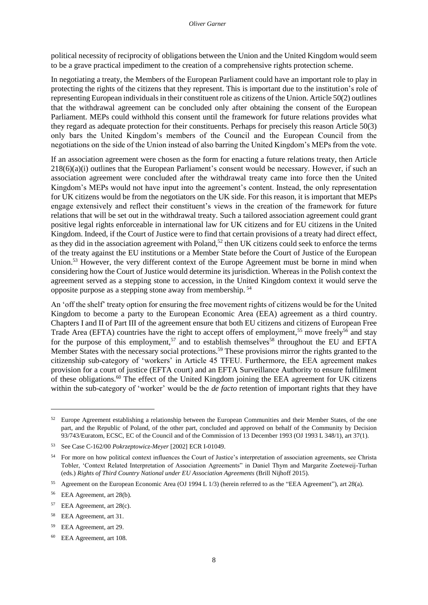political necessity of reciprocity of obligations between the Union and the United Kingdom would seem to be a grave practical impediment to the creation of a comprehensive rights protection scheme.

In negotiating a treaty, the Members of the European Parliament could have an important role to play in protecting the rights of the citizens that they represent. This is important due to the institution's role of representing European individuals in their constituent role as citizens of the Union. Article 50(2) outlines that the withdrawal agreement can be concluded only after obtaining the consent of the European Parliament. MEPs could withhold this consent until the framework for future relations provides what they regard as adequate protection for their constituents. Perhaps for precisely this reason Article 50(3) only bars the United Kingdom's members of the Council and the European Council from the negotiations on the side of the Union instead of also barring the United Kingdom's MEPs from the vote.

If an association agreement were chosen as the form for enacting a future relations treaty, then Article 218(6)(a)(i) outlines that the European Parliament's consent would be necessary. However, if such an association agreement were concluded after the withdrawal treaty came into force then the United Kingdom's MEPs would not have input into the agreement's content. Instead, the only representation for UK citizens would be from the negotiators on the UK side. For this reason, it is important that MEPs engage extensively and reflect their constituent's views in the creation of the framework for future relations that will be set out in the withdrawal treaty. Such a tailored association agreement could grant positive legal rights enforceable in international law for UK citizens and for EU citizens in the United Kingdom. Indeed, if the Court of Justice were to find that certain provisions of a treaty had direct effect, as they did in the association agreement with Poland,<sup>52</sup> then UK citizens could seek to enforce the terms of the treaty against the EU institutions or a Member State before the Court of Justice of the European Union.<sup>53</sup> However, the very different context of the Europe Agreement must be borne in mind when considering how the Court of Justice would determine its jurisdiction. Whereas in the Polish context the agreement served as a stepping stone to accession, in the United Kingdom context it would serve the opposite purpose as a stepping stone away from membership. <sup>54</sup>

An 'off the shelf' treaty option for ensuring the free movement rights of citizens would be for the United Kingdom to become a party to the European Economic Area (EEA) agreement as a third country. Chapters I and II of Part III of the agreement ensure that both EU citizens and citizens of European Free Trade Area (EFTA) countries have the right to accept offers of employment,<sup>55</sup> move freely<sup>56</sup> and stay for the purpose of this employment,<sup>57</sup> and to establish themselves<sup>58</sup> throughout the EU and EFTA Member States with the necessary social protections.<sup>59</sup> These provisions mirror the rights granted to the citizenship sub-category of 'workers' in Article 45 TFEU. Furthermore, the EEA agreement makes provision for a court of justice (EFTA court) and an EFTA Surveillance Authority to ensure fulfilment of these obligations.<sup>60</sup> The effect of the United Kingdom joining the EEA agreement for UK citizens within the sub-category of 'worker' would be the *de facto* retention of important rights that they have

<sup>&</sup>lt;sup>52</sup> Europe Agreement establishing a relationship between the European Communities and their Member States, of the one part, and the Republic of Poland, of the other part, concluded and approved on behalf of the Community by Decision 93/743/Euratom, ECSC, EC of the Council and of the Commission of 13 December 1993 (OJ 1993 L 348/1), art 37(1).

<sup>53</sup> See Case C-162/00 *Pokrzeptowicz-Meyer* [2002] ECR I-01049.

<sup>&</sup>lt;sup>54</sup> For more on how political context influences the Court of Justice's interpretation of association agreements, see Christa Tobler, 'Context Related Interpretation of Association Agreements" in Daniel Thym and Margarite Zoeteweij-Turhan (eds.) *Rights of Third Country National under EU Association Agreements* (Brill Nijhoff 2015).

<sup>55</sup> Agreement on the European Economic Area (OJ 1994 L 1/3) (herein referred to as the "EEA Agreement"), art 28(a).

<sup>56</sup> EEA Agreement, art 28(b).

<sup>57</sup> EEA Agreement, art 28(c).

<sup>58</sup> EEA Agreement, art 31.

<sup>59</sup> EEA Agreement, art 29.

<sup>60</sup> EEA Agreement, art 108.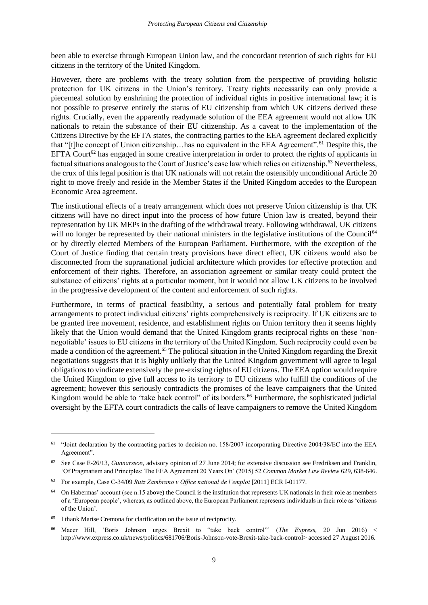been able to exercise through European Union law, and the concordant retention of such rights for EU citizens in the territory of the United Kingdom.

However, there are problems with the treaty solution from the perspective of providing holistic protection for UK citizens in the Union's territory. Treaty rights necessarily can only provide a piecemeal solution by enshrining the protection of individual rights in positive international law; it is not possible to preserve entirely the status of EU citizenship from which UK citizens derived these rights. Crucially, even the apparently readymade solution of the EEA agreement would not allow UK nationals to retain the substance of their EU citizenship. As a caveat to the implementation of the Citizens Directive by the EFTA states, the contracting parties to the EEA agreement declared explicitly that "[t]he concept of Union citizenship…has no equivalent in the EEA Agreement".<sup>61</sup> Despite this, the EFTA Court<sup>62</sup> has engaged in some creative interpretation in order to protect the rights of applicants in factual situations analogous to the Court of Justice's case law which relies on citizenship.<sup>63</sup> Nevertheless, the crux of this legal position is that UK nationals will not retain the ostensibly unconditional Article 20 right to move freely and reside in the Member States if the United Kingdom accedes to the European Economic Area agreement.

The institutional effects of a treaty arrangement which does not preserve Union citizenship is that UK citizens will have no direct input into the process of how future Union law is created, beyond their representation by UK MEPs in the drafting of the withdrawal treaty. Following withdrawal, UK citizens will no longer be represented by their national ministers in the legislative institutions of the Council<sup>64</sup> or by directly elected Members of the European Parliament. Furthermore, with the exception of the Court of Justice finding that certain treaty provisions have direct effect, UK citizens would also be disconnected from the supranational judicial architecture which provides for effective protection and enforcement of their rights. Therefore, an association agreement or similar treaty could protect the substance of citizens' rights at a particular moment, but it would not allow UK citizens to be involved in the progressive development of the content and enforcement of such rights.

Furthermore, in terms of practical feasibility, a serious and potentially fatal problem for treaty arrangements to protect individual citizens' rights comprehensively is reciprocity. If UK citizens are to be granted free movement, residence, and establishment rights on Union territory then it seems highly likely that the Union would demand that the United Kingdom grants reciprocal rights on these 'nonnegotiable' issues to EU citizens in the territory of the United Kingdom. Such reciprocity could even be made a condition of the agreement.<sup>65</sup> The political situation in the United Kingdom regarding the Brexit negotiations suggests that it is highly unlikely that the United Kingdom government will agree to legal obligations to vindicate extensively the pre-existing rights of EU citizens. The EEA option would require the United Kingdom to give full access to its territory to EU citizens who fulfill the conditions of the agreement; however this seriously contradicts the promises of the leave campaigners that the United Kingdom would be able to "take back control" of its borders.<sup>66</sup> Furthermore, the sophisticated judicial oversight by the EFTA court contradicts the calls of leave campaigners to remove the United Kingdom

<sup>&</sup>lt;sup>61</sup> "Joint declaration by the contracting parties to decision no. 158/2007 incorporating Directive 2004/38/EC into the EEA Agreement".

<sup>62</sup> See Case E-26/13, *Gunnarsson*, advisory opinion of 27 June 2014; for extensive discussion see Fredriksen and Franklin, 'Of Pragmatism and Principles: The EEA Agreement 20 Years On' (2015) 52 *Common Market Law Review* 629, 638-646.

<sup>63</sup> For example, Case C-34/09 *Ruiz Zambrano v Office national de l'emploi* [2011] ECR I-01177.

<sup>64</sup> On Habermas' account (see n.15 above) the Council is the institution that represents UK nationals in their role as members of a 'European people', whereas, as outlined above, the European Parliament represents individuals in their role as 'citizens of the Union'.

<sup>65</sup> I thank Marise Cremona for clarification on the issue of reciprocity.

<sup>66</sup> Macer Hill, 'Boris Johnson urges Brexit to "take back control"' (*The Express*, 20 Jun 2016) < [http://www.express.co.uk/news/politics/681706/Boris-Johnson-vote-Brexit-take-back-control>](http://www.express.co.uk/news/politics/681706/Boris-Johnson-vote-Brexit-take-back-control) accessed 27 August 2016.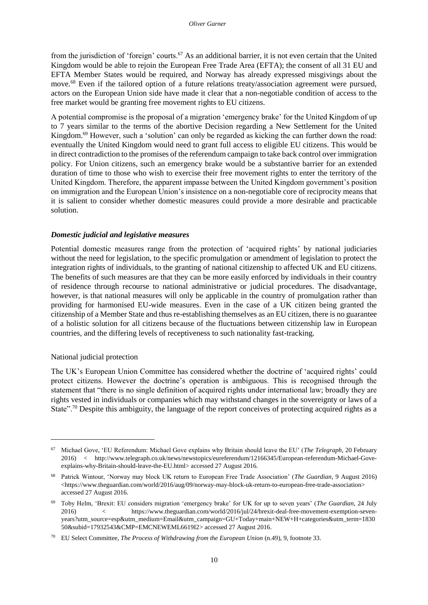from the jurisdiction of 'foreign' courts.<sup>67</sup> As an additional barrier, it is not even certain that the United Kingdom would be able to rejoin the European Free Trade Area (EFTA); the consent of all 31 EU and EFTA Member States would be required, and Norway has already expressed misgivings about the move.<sup>68</sup> Even if the tailored option of a future relations treaty/association agreement were pursued, actors on the European Union side have made it clear that a non-negotiable condition of access to the free market would be granting free movement rights to EU citizens.

A potential compromise is the proposal of a migration 'emergency brake' for the United Kingdom of up to 7 years similar to the terms of the abortive Decision regarding a New Settlement for the United Kingdom.<sup>69</sup> However, such a 'solution' can only be regarded as kicking the can further down the road: eventually the United Kingdom would need to grant full access to eligible EU citizens. This would be in direct contradiction to the promises of the referendum campaign to take back control over immigration policy. For Union citizens, such an emergency brake would be a substantive barrier for an extended duration of time to those who wish to exercise their free movement rights to enter the territory of the United Kingdom. Therefore, the apparent impasse between the United Kingdom government's position on immigration and the European Union's insistence on a non-negotiable core of reciprocity means that it is salient to consider whether domestic measures could provide a more desirable and practicable solution.

### <span id="page-17-0"></span>*Domestic judicial and legislative measures*

Potential domestic measures range from the protection of 'acquired rights' by national judiciaries without the need for legislation, to the specific promulgation or amendment of legislation to protect the integration rights of individuals, to the granting of national citizenship to affected UK and EU citizens. The benefits of such measures are that they can be more easily enforced by individuals in their country of residence through recourse to national administrative or judicial procedures. The disadvantage, however, is that national measures will only be applicable in the country of promulgation rather than providing for harmonised EU-wide measures. Even in the case of a UK citizen being granted the citizenship of a Member State and thus re-establishing themselves as an EU citizen, there is no guarantee of a holistic solution for all citizens because of the fluctuations between citizenship law in European countries, and the differing levels of receptiveness to such nationality fast-tracking.

#### <span id="page-17-1"></span>National judicial protection

 $\overline{a}$ 

The UK's European Union Committee has considered whether the doctrine of 'acquired rights' could protect citizens. However the doctrine's operation is ambiguous. This is recognised through the statement that "there is no single definition of acquired rights under international law; broadly they are rights vested in individuals or companies which may withstand changes in the sovereignty or laws of a State".<sup>70</sup> Despite this ambiguity, the language of the report conceives of protecting acquired rights as a

<sup>67</sup> Michael Gove, 'EU Referendum: Michael Gove explains why Britain should leave the EU' (*The Telegraph*, 20 February 2016) < [http://www.telegraph.co.uk/news/newstopics/eureferendum/12166345/European-referendum-Michael-Gove](http://www.telegraph.co.uk/news/newstopics/eureferendum/12166345/European-referendum-Michael-Gove-explains-why-Britain-should-leave-the-EU.html)[explains-why-Britain-should-leave-the-EU.html>](http://www.telegraph.co.uk/news/newstopics/eureferendum/12166345/European-referendum-Michael-Gove-explains-why-Britain-should-leave-the-EU.html) accessed 27 August 2016.

<sup>68</sup> Patrick Wintour, 'Norway may block UK return to European Free Trade Association' (*The Guardian*, 9 August 2016) <https://www.theguardian.com/world/2016/aug/09/norway-may-block-uk-return-to-european-free-trade-association> accessed 27 August 2016.

<sup>69</sup> Toby Helm, 'Brexit: EU considers migration 'emergency brake' for UK for up to seven years' (*The Guardian*, 24 July 2016) < [https://www.theguardian.com/world/2016/jul/24/brexit-deal-free-movement-exemption-seven](https://www.theguardian.com/world/2016/jul/24/brexit-deal-free-movement-exemption-seven-years?utm_source=esp&utm_medium=Email&utm_campaign=GU+Today+main+NEW+H+categories&utm_term=183050&subid=17932543&CMP=EMCNEWEML6619I2)[years?utm\\_source=esp&utm\\_medium=Email&utm\\_campaign=GU+Today+main+NEW+H+categories&utm\\_term=1830](https://www.theguardian.com/world/2016/jul/24/brexit-deal-free-movement-exemption-seven-years?utm_source=esp&utm_medium=Email&utm_campaign=GU+Today+main+NEW+H+categories&utm_term=183050&subid=17932543&CMP=EMCNEWEML6619I2) [50&subid=17932543&CMP=EMCNEWEML6619I2>](https://www.theguardian.com/world/2016/jul/24/brexit-deal-free-movement-exemption-seven-years?utm_source=esp&utm_medium=Email&utm_campaign=GU+Today+main+NEW+H+categories&utm_term=183050&subid=17932543&CMP=EMCNEWEML6619I2) accessed 27 August 2016.

<sup>70</sup> EU Select Committee, *The Process of Withdrawing from the European Union* (n.49), 9, footnote 33.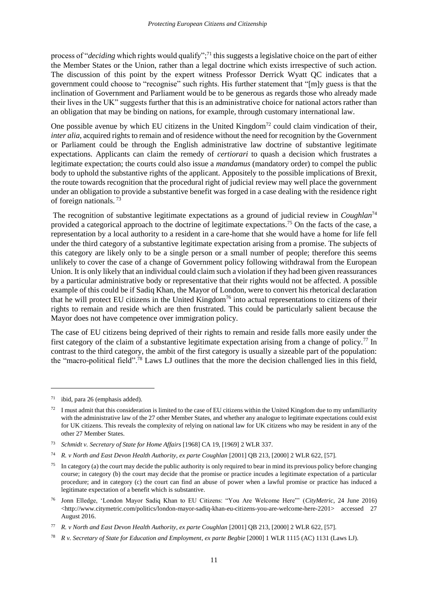process of "*deciding* which rights would qualify";<sup>71</sup> this suggests a legislative choice on the part of either the Member States or the Union, rather than a legal doctrine which exists irrespective of such action. The discussion of this point by the expert witness Professor Derrick Wyatt QC indicates that a government could choose to "recognise" such rights. His further statement that "[m]y guess is that the inclination of Government and Parliament would be to be generous as regards those who already made their lives in the UK" suggests further that this is an administrative choice for national actors rather than an obligation that may be binding on nations, for example, through customary international law.

One possible avenue by which EU citizens in the United Kingdom<sup>72</sup> could claim vindication of their, *inter alia*, acquired rights to remain and of residence without the need for recognition by the Government or Parliament could be through the English administrative law doctrine of substantive legitimate expectations. Applicants can claim the remedy of *certiorari* to quash a decision which frustrates a legitimate expectation; the courts could also issue a *mandamus* (mandatory order) to compel the public body to uphold the substantive rights of the applicant. Appositely to the possible implications of Brexit, the route towards recognition that the procedural right of judicial review may well place the government under an obligation to provide a substantive benefit was forged in a case dealing with the residence right of foreign nationals. <sup>73</sup>

The recognition of substantive legitimate expectations as a ground of judicial review in *Coughlan*<sup>74</sup> provided a categorical approach to the doctrine of legitimate expectations.<sup>75</sup> On the facts of the case, a representation by a local authority to a resident in a care-home that she would have a home for life fell under the third category of a substantive legitimate expectation arising from a promise. The subjects of this category are likely only to be a single person or a small number of people; therefore this seems unlikely to cover the case of a change of Government policy following withdrawal from the European Union. It is only likely that an individual could claim such a violation if they had been given reassurances by a particular administrative body or representative that their rights would not be affected. A possible example of this could be if Sadiq Khan, the Mayor of London, were to convert his rhetorical declaration that he will protect EU citizens in the United Kingdom<sup>76</sup> into actual representations to citizens of their rights to remain and reside which are then frustrated. This could be particularly salient because the Mayor does not have competence over immigration policy.

The case of EU citizens being deprived of their rights to remain and reside falls more easily under the first category of the claim of a substantive legitimate expectation arising from a change of policy.<sup>77</sup> In contrast to the third category, the ambit of the first category is usually a sizeable part of the population: the "macro-political field".<sup>78</sup> Laws LJ outlines that the more the decision challenged lies in this field,

<sup>71</sup> ibid, para 26 (emphasis added).

<sup>72</sup> I must admit that this consideration is limited to the case of EU citizens within the United Kingdom due to my unfamiliarity with the administrative law of the 27 other Member States, and whether any analogue to legitimate expectations could exist for UK citizens. This reveals the complexity of relying on national law for UK citizens who may be resident in any of the other 27 Member States.

<sup>73</sup> *Schmidt v. Secretary of State for Home Affairs* [1968] CA 19, [1969] 2 WLR 337.

<sup>&</sup>lt;sup>74</sup> *R. v North and East Devon Health Authority, ex parte Coughlan* [2001] QB 213, [2000] 2 WLR 622, [57].

<sup>&</sup>lt;sup>75</sup> In category (a) the court may decide the public authority is only required to bear in mind its previous policy before changing course; in category (b) the court may decide that the promise or practice incudes a legitimate expectation of a particular procedure; and in category (c) the court can find an abuse of power when a lawful promise or practice has induced a legitimate expectation of a benefit which is substantive.

<sup>76</sup> Jonn Elledge, 'London Mayor Sadiq Khan to EU Citizens: "You Are Welcome Here"' (*CityMetric*, 24 June 2016) <http://www.citymetric.com/politics/london-mayor-sadiq-khan-eu-citizens-you-are-welcome-here-2201> accessed 27 August 2016.

<sup>&</sup>lt;sup>77</sup> *R. v North and East Devon Health Authority, ex parte Coughlan* [2001] QB 213, [2000] 2 WLR 622, [57].

<sup>78</sup> *R v. Secretary of State for Education and Employment*, *ex parte Begbie* [2000] 1 WLR 1115 (AC) 1131 (Laws LJ).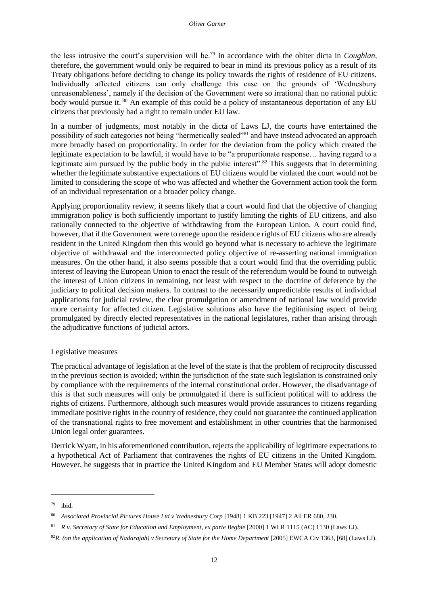the less intrusive the court's supervision will be.<sup>79</sup> In accordance with the obiter dicta in *Coughlan*, therefore, the government would only be required to bear in mind its previous policy as a result of its Treaty obligations before deciding to change its policy towards the rights of residence of EU citizens. Individually affected citizens can only challenge this case on the grounds of 'Wednesbury unreasonableness', namely if the decision of the Government were so irrational than no rational public body would pursue it. <sup>80</sup> An example of this could be a policy of instantaneous deportation of any EU citizens that previously had a right to remain under EU law.

In a number of judgments, most notably in the dicta of Laws LJ, the courts have entertained the possibility of such categories not being "hermetically sealed"<sup>81</sup> and have instead advocated an approach more broadly based on proportionality. In order for the deviation from the policy which created the legitimate expectation to be lawful, it would have to be "a proportionate response… having regard to a legitimate aim pursued by the public body in the public interest".<sup>82</sup> This suggests that in determining whether the legitimate substantive expectations of EU citizens would be violated the court would not be limited to considering the scope of who was affected and whether the Government action took the form of an individual representation or a broader policy change.

Applying proportionality review, it seems likely that a court would find that the objective of changing immigration policy is both sufficiently important to justify limiting the rights of EU citizens, and also rationally connected to the objective of withdrawing from the European Union. A court could find, however, that if the Government were to renege upon the residence rights of EU citizens who are already resident in the United Kingdom then this would go beyond what is necessary to achieve the legitimate objective of withdrawal and the interconnected policy objective of re-asserting national immigration measures. On the other hand, it also seems possible that a court would find that the overriding public interest of leaving the European Union to enact the result of the referendum would be found to outweigh the interest of Union citizens in remaining, not least with respect to the doctrine of deference by the judiciary to political decision makers. In contrast to the necessarily unpredictable results of individual applications for judicial review, the clear promulgation or amendment of national law would provide more certainty for affected citizen. Legislative solutions also have the legitimising aspect of being promulgated by directly elected representatives in the national legislatures, rather than arising through the adjudicative functions of judicial actors.

#### <span id="page-19-0"></span>Legislative measures

The practical advantage of legislation at the level of the state is that the problem of reciprocity discussed in the previous section is avoided; within the jurisdiction of the state such legislation is constrained only by compliance with the requirements of the internal constitutional order. However, the disadvantage of this is that such measures will only be promulgated if there is sufficient political will to address the rights of citizens. Furthermore, although such measures would provide assurances to citizens regarding immediate positive rights in the country of residence, they could not guarantee the continued application of the transnational rights to free movement and establishment in other countries that the harmonised Union legal order guarantees.

Derrick Wyatt, in his aforementioned contribution, rejects the applicability of legitimate expectations to a hypothetical Act of Parliament that contravenes the rights of EU citizens in the United Kingdom. However, he suggests that in practice the United Kingdom and EU Member States will adopt domestic

 $\overline{\phantom{a}}$ 

<sup>79</sup> ibid.

<sup>80</sup> *Associated Provincial Pictures House Ltd v Wednesbury Corp* [1948] 1 KB 223 [1947] 2 All ER 680, 230.

<sup>81</sup> *R v. Secretary of State for Education and Employment*, *ex parte Begbie* [2000] 1 WLR 1115 (AC) 1130 (Laws LJ).

<sup>&</sup>lt;sup>82</sup>R. (on the application of Nadarajah) v Secretary of State for the Home Department [2005] EWCA Civ 1363, [68] (Laws LJ).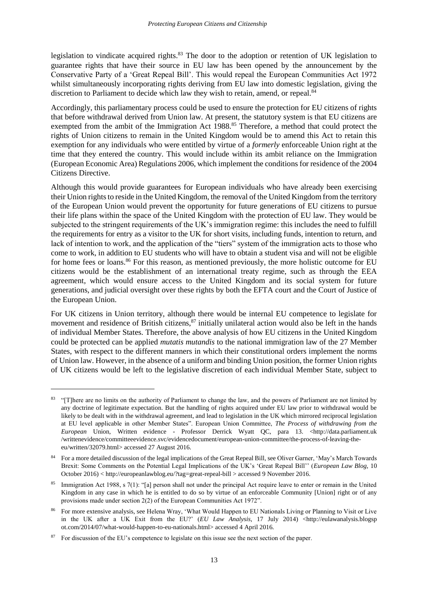legislation to vindicate acquired rights.<sup>83</sup> The door to the adoption or retention of UK legislation to guarantee rights that have their source in EU law has been opened by the announcement by the Conservative Party of a 'Great Repeal Bill'. This would repeal the European Communities Act 1972 whilst simultaneously incorporating rights deriving from EU law into domestic legislation, giving the discretion to Parliament to decide which law they wish to retain, amend, or repeal.<sup>84</sup>

Accordingly, this parliamentary process could be used to ensure the protection for EU citizens of rights that before withdrawal derived from Union law. At present, the statutory system is that EU citizens are exempted from the ambit of the Immigration Act 1988.<sup>85</sup> Therefore, a method that could protect the rights of Union citizens to remain in the United Kingdom would be to amend this Act to retain this exemption for any individuals who were entitled by virtue of a *formerly* enforceable Union right at the time that they entered the country. This would include within its ambit reliance on the Immigration (European Economic Area) Regulations 2006, which implement the conditions for residence of the 2004 Citizens Directive.

Although this would provide guarantees for European individuals who have already been exercising their Union rights to reside in the United Kingdom, the removal of the United Kingdom from the territory of the European Union would prevent the opportunity for future generations of EU citizens to pursue their life plans within the space of the United Kingdom with the protection of EU law. They would be subjected to the stringent requirements of the UK's immigration regime: this includes the need to fulfill the requirements for entry as a visitor to the UK for short visits, including funds, intention to return, and lack of intention to work, and the application of the "tiers" system of the immigration acts to those who come to work, in addition to EU students who will have to obtain a student visa and will not be eligible for home fees or loans.<sup>86</sup> For this reason, as mentioned previously, the more holistic outcome for EU citizens would be the establishment of an international treaty regime, such as through the EEA agreement, which would ensure access to the United Kingdom and its social system for future generations, and judicial oversight over these rights by both the EFTA court and the Court of Justice of the European Union.

For UK citizens in Union territory, although there would be internal EU competence to legislate for movement and residence of British citizens, $87$  initially unilateral action would also be left in the hands of individual Member States. Therefore, the above analysis of how EU citizens in the United Kingdom could be protected can be applied *mutatis mutandis* to the national immigration law of the 27 Member States, with respect to the different manners in which their constitutional orders implement the norms of Union law. However, in the absence of a uniform and binding Union position, the former Union rights of UK citizens would be left to the legislative discretion of each individual Member State, subject to

<sup>&</sup>lt;sup>83</sup> "[T]here are no limits on the authority of Parliament to change the law, and the powers of Parliament are not limited by any doctrine of legitimate expectation. But the handling of rights acquired under EU law prior to withdrawal would be likely to be dealt with in the withdrawal agreement, and lead to legislation in the UK which mirrored reciprocal legislation at EU level applicable in other Member States". European Union Committee, *The Process of withdrawing from the European* Union, Written evidence - Professor Derrick Wyatt QC, para 13. <http://data.parliament.uk /writtenevidence/committeeevidence.svc/evidencedocument/european-union-committee/the-process-of-leaving-theeu/written/32079.html> accessed 27 August 2016.

<sup>84</sup> For a more detailed discussion of the legal implications of the Great Repeal Bill, see Oliver Garner, 'May's March Towards Brexit: Some Comments on the Potential Legal Implications of the UK's 'Great Repeal Bill'' (*European Law Blog*, 10 October 2016) < http://europeanlawblog.eu/?tag=great-repeal-bill > accessed 9 November 2016.

<sup>&</sup>lt;sup>85</sup> Immigration Act 1988, s 7(1): "[a] person shall not under the principal Act require leave to enter or remain in the United Kingdom in any case in which he is entitled to do so by virtue of an enforceable Community [Union] right or of any provisions made under section 2(2) of the European Communities Act 1972".

<sup>86</sup> For more extensive analysis, see Helena Wray, 'What Would Happen to EU Nationals Living or Planning to Visit or Live in the UK after a UK Exit from the EU?' (*EU Law Analysis*, 17 July 2014) <http://eulawanalysis.blogsp ot.com/2014/07/what-would-happen-to-eu-nationals.html> accessed 4 April 2016.

<sup>&</sup>lt;sup>87</sup> For discussion of the EU's competence to legislate on this issue see the next section of the paper.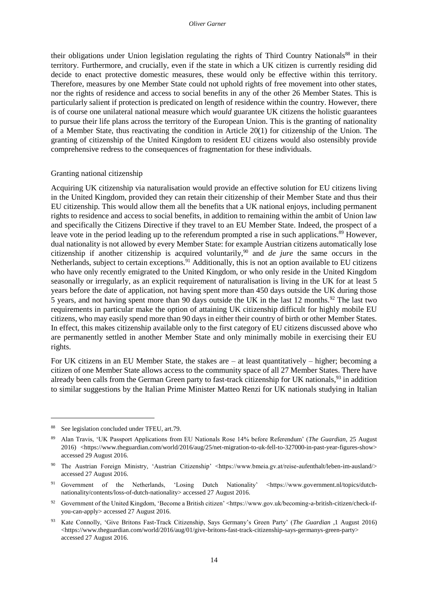their obligations under Union legislation regulating the rights of Third Country Nationals<sup>88</sup> in their territory. Furthermore, and crucially, even if the state in which a UK citizen is currently residing did decide to enact protective domestic measures, these would only be effective within this territory. Therefore, measures by one Member State could not uphold rights of free movement into other states, nor the rights of residence and access to social benefits in any of the other 26 Member States. This is particularly salient if protection is predicated on length of residence within the country. However, there is of course one unilateral national measure which *would* guarantee UK citizens the holistic guarantees to pursue their life plans across the territory of the European Union. This is the granting of nationality of a Member State, thus reactivating the condition in Article 20(1) for citizenship of the Union. The granting of citizenship of the United Kingdom to resident EU citizens would also ostensibly provide comprehensive redress to the consequences of fragmentation for these individuals.

#### <span id="page-21-0"></span>Granting national citizenship

Acquiring UK citizenship via naturalisation would provide an effective solution for EU citizens living in the United Kingdom, provided they can retain their citizenship of their Member State and thus their EU citizenship. This would allow them all the benefits that a UK national enjoys, including permanent rights to residence and access to social benefits, in addition to remaining within the ambit of Union law and specifically the Citizens Directive if they travel to an EU Member State. Indeed, the prospect of a leave vote in the period leading up to the referendum prompted a rise in such applications.<sup>89</sup> However, dual nationality is not allowed by every Member State: for example Austrian citizens automatically lose citizenship if another citizenship is acquired voluntarily,<sup>90</sup> and *de jure* the same occurs in the Netherlands, subject to certain exceptions.<sup>91</sup> Additionally, this is not an option available to EU citizens who have only recently emigrated to the United Kingdom, or who only reside in the United Kingdom seasonally or irregularly, as an explicit requirement of naturalisation is living in the UK for at least 5 years before the date of application, not having spent more than 450 days outside the UK during those 5 years, and not having spent more than 90 days outside the UK in the last 12 months.<sup>92</sup> The last two requirements in particular make the option of attaining UK citizenship difficult for highly mobile EU citizens, who may easily spend more than 90 days in either their country of birth or other Member States. In effect, this makes citizenship available only to the first category of EU citizens discussed above who are permanently settled in another Member State and only minimally mobile in exercising their EU rights.

For UK citizens in an EU Member State, the stakes are – at least quantitatively – higher; becoming a citizen of one Member State allows access to the community space of all 27 Member States. There have already been calls from the German Green party to fast-track citizenship for UK nationals,<sup>93</sup> in addition to similar suggestions by the Italian Prime Minister Matteo Renzi for UK nationals studying in Italian

<sup>88</sup> See legislation concluded under TFEU, art.79.

<sup>89</sup> Alan Travis, 'UK Passport Applications from EU Nationals Rose 14% before Referendum' (*The Guardian*, 25 August 2016) <https://www.theguardian.com/world/2016/aug/25/net-migration-to-uk-fell-to-327000-in-past-year-figures-show> accessed 29 August 2016.

<sup>90</sup> The Austrian Foreign Ministry, 'Austrian Citizenship' <https://www.bmeia.gv.at/reise-aufenthalt/leben-im-ausland/> accessed 27 August 2016.

<sup>91</sup> Government of the Netherlands, 'Losing Dutch Nationality' <https://www.government.nl/topics/dutchnationality/contents/loss-of-dutch-nationality> accessed 27 August 2016.

<sup>92</sup> Government of the United Kingdom, 'Become a British citizen' <https://www.gov.uk/becoming-a-british-citizen/check-ifyou-can-apply> accessed 27 August 2016.

<sup>93</sup> Kate Connolly, 'Give Britons Fast-Track Citizenship, Says Germany's Green Party' (*The Guardian* ,1 August 2016) <https://www.theguardian.com/world/2016/aug/01/give-britons-fast-track-citizenship-says-germanys-green-party> accessed 27 August 2016.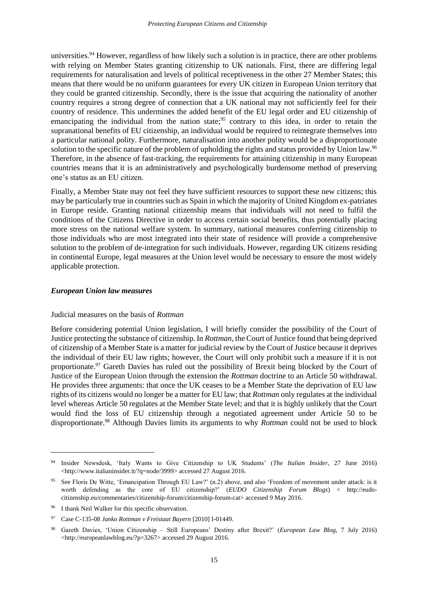universities.<sup>94</sup> However, regardless of how likely such a solution is in practice, there are other problems with relying on Member States granting citizenship to UK nationals. First, there are differing legal requirements for naturalisation and levels of political receptiveness in the other 27 Member States; this means that there would be no uniform guarantees for every UK citizen in European Union territory that they could be granted citizenship. Secondly, there is the issue that acquiring the nationality of another country requires a strong degree of connection that a UK national may not sufficiently feel for their country of residence. This undermines the added benefit of the EU legal order and EU citizenship of emancipating the individual from the nation state;<sup>95</sup> contrary to this idea, in order to retain the supranational benefits of EU citizenship, an individual would be required to reintegrate themselves into a particular national polity. Furthermore, naturalisation into another polity would be a disproportionate solution to the specific nature of the problem of upholding the rights and status provided by Union law.<sup>96</sup> Therefore, in the absence of fast-tracking, the requirements for attaining citizenship in many European countries means that it is an administratively and psychologically burdensome method of preserving one's status as an EU citizen.

Finally, a Member State may not feel they have sufficient resources to support these new citizens; this may be particularly true in countries such as Spain in which the majority of United Kingdom ex-patriates in Europe reside. Granting national citizenship means that individuals will not need to fulfil the conditions of the Citizens Directive in order to access certain social benefits, thus potentially placing more stress on the national welfare system. In summary, national measures conferring citizenship to those individuals who are most integrated into their state of residence will provide a comprehensive solution to the problem of de-integration for such individuals. However, regarding UK citizens residing in continental Europe, legal measures at the Union level would be necessary to ensure the most widely applicable protection.

#### <span id="page-22-1"></span><span id="page-22-0"></span>*European Union law measures*

#### Judicial measures on the basis of *Rottman*

Before considering potential Union legislation, I will briefly consider the possibility of the Court of Justice protecting the substance of citizenship. In *Rottman*, the Court of Justice found that being deprived of citizenship of a Member State is a matter for judicial review by the Court of Justice because it deprives the individual of their EU law rights; however, the Court will only prohibit such a measure if it is not proportionate.<sup>97</sup> Gareth Davies has ruled out the possibility of Brexit being blocked by the Court of Justice of the European Union through the extension the *Rottman* doctrine to an Article 50 withdrawal. He provides three arguments: that once the UK ceases to be a Member State the deprivation of EU law rights of its citizens would no longer be a matter for EU law; that *Rottman* only regulates at the individual level whereas Article 50 regulates at the Member State level; and that it is highly unlikely that the Court would find the loss of EU citizenship through a negotiated agreement under Article 50 to be disproportionate.<sup>98</sup> Although Davies limits its arguments to why *Rottman* could not be used to block

<sup>94</sup> Insider Newsdesk, 'Italy Wants to Give Citizenship to UK Students' (*The Italian Insider*, 27 June 2016) <http://www.italianinsider.it/?q=node/3999> accessed 27 August 2016.

<sup>&</sup>lt;sup>95</sup> See Floris De Witte, 'Emancipation Through EU Law?' (n.2) above, and also 'Freedom of movement under attack: is it worth defending as the core of EU citizenship?' (*EUDO Citizenship Forum Blogs*) < [http://eudo](http://eudo-citizenship.eu/commentaries/citizenship-forum/citizenship-forum-cat)[citizenship.eu/commentaries/citizenship-forum/citizenship-forum-cat>](http://eudo-citizenship.eu/commentaries/citizenship-forum/citizenship-forum-cat) accessed 9 May 2016.

<sup>&</sup>lt;sup>96</sup> I thank Neil Walker for this specific observation.

<sup>97</sup> Case C-135-08 *Janko Rottman v Freistaat Bayern* [2010] I-01449.

<sup>98</sup> Gareth Davies, 'Union Citizenship – Still Europeans' Destiny after Brexit?' (*European Law Blog*, 7 July 2016) <http://europeanlawblog.eu/?p=3267> accessed 29 August 2016.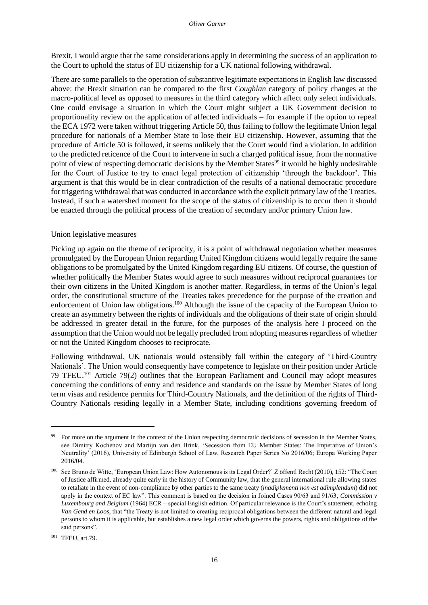Brexit, I would argue that the same considerations apply in determining the success of an application to the Court to uphold the status of EU citizenship for a UK national following withdrawal.

There are some parallels to the operation of substantive legitimate expectations in English law discussed above: the Brexit situation can be compared to the first *Coughlan* category of policy changes at the macro-political level as opposed to measures in the third category which affect only select individuals. One could envisage a situation in which the Court might subject a UK Government decision to proportionality review on the application of affected individuals – for example if the option to repeal the ECA 1972 were taken without triggering Article 50, thus failing to follow the legitimate Union legal procedure for nationals of a Member State to lose their EU citizenship. However, assuming that the procedure of Article 50 is followed, it seems unlikely that the Court would find a violation. In addition to the predicted reticence of the Court to intervene in such a charged political issue, from the normative point of view of respecting democratic decisions by the Member States<sup>99</sup> it would be highly undesirable for the Court of Justice to try to enact legal protection of citizenship 'through the backdoor'. This argument is that this would be in clear contradiction of the results of a national democratic procedure for triggering withdrawal that was conducted in accordance with the explicit primary law of the Treaties. Instead, if such a watershed moment for the scope of the status of citizenship is to occur then it should be enacted through the political process of the creation of secondary and/or primary Union law.

## <span id="page-23-0"></span>Union legislative measures

Picking up again on the theme of reciprocity, it is a point of withdrawal negotiation whether measures promulgated by the European Union regarding United Kingdom citizens would legally require the same obligations to be promulgated by the United Kingdom regarding EU citizens. Of course, the question of whether politically the Member States would agree to such measures without reciprocal guarantees for their own citizens in the United Kingdom is another matter. Regardless, in terms of the Union's legal order, the constitutional structure of the Treaties takes precedence for the purpose of the creation and enforcement of Union law obligations.<sup>100</sup> Although the issue of the capacity of the European Union to create an asymmetry between the rights of individuals and the obligations of their state of origin should be addressed in greater detail in the future, for the purposes of the analysis here I proceed on the assumption that the Union would not be legally precluded from adopting measures regardless of whether or not the United Kingdom chooses to reciprocate.

Following withdrawal, UK nationals would ostensibly fall within the category of 'Third-Country Nationals'. The Union would consequently have competence to legislate on their position under Article 79 TFEU.<sup>101</sup> Article 79(2) outlines that the European Parliament and Council may adopt measures concerning the conditions of entry and residence and standards on the issue by Member States of long term visas and residence permits for Third-Country Nationals, and the definition of the rights of Third-Country Nationals residing legally in a Member State, including conditions governing freedom of

<sup>99</sup> For more on the argument in the context of the Union respecting democratic decisions of secession in the Member States, see Dimitry Kochenov and Martijn van den Brink, 'Secession from EU Member States: The Imperative of Union's Neutrality' (2016), University of Edinburgh School of Law, Research Paper Series No 2016/06; Europa Working Paper 2016/04.

<sup>100</sup> See Bruno de Witte, 'European Union Law: How Autonomous is its Legal Order?' Z öffentl Recht (2010), 152: "The Court of Justice affirmed, already quite early in the history of Community law, that the general international rule allowing states to retaliate in the event of non-compliance by other parties to the same treaty (*inadiplementi non est adimplendum*) did not apply in the context of EC law". This comment is based on the decision in Joined Cases 90/63 and 91/63, *Commission v Luxembourg and Belgium* (1964) ECR – special English edition. Of particular relevance is the Court's statement, echoing *Van Gend en Loos*, that "the Treaty is not limited to creating reciprocal obligations between the different natural and legal persons to whom it is applicable, but establishes a new legal order which governs the powers, rights and obligations of the said persons".

<sup>101</sup> TFEU, art.79.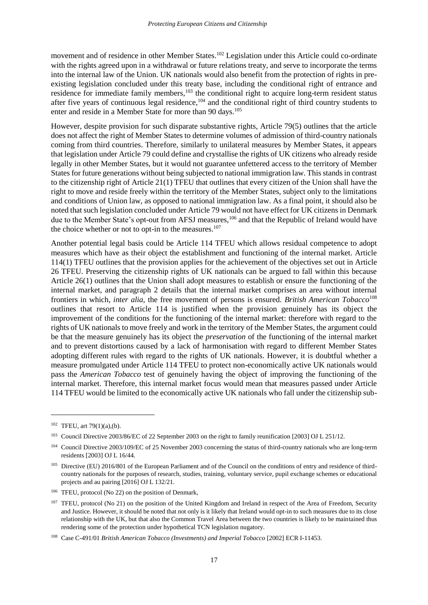movement and of residence in other Member States.<sup>102</sup> Legislation under this Article could co-ordinate with the rights agreed upon in a withdrawal or future relations treaty, and serve to incorporate the terms into the internal law of the Union. UK nationals would also benefit from the protection of rights in preexisting legislation concluded under this treaty base, including the conditional right of entrance and residence for immediate family members,<sup>103</sup> the conditional right to acquire long-term resident status after five years of continuous legal residence,<sup>104</sup> and the conditional right of third country students to enter and reside in a Member State for more than 90 days.<sup>105</sup>

However, despite provision for such disparate substantive rights, Article 79(5) outlines that the article does not affect the right of Member States to determine volumes of admission of third-country nationals coming from third countries. Therefore, similarly to unilateral measures by Member States, it appears that legislation under Article 79 could define and crystallise the rights of UK citizens who already reside legally in other Member States, but it would not guarantee unfettered access to the territory of Member States for future generations without being subjected to national immigration law. This stands in contrast to the citizenship right of Article 21(1) TFEU that outlines that every citizen of the Union shall have the right to move and reside freely within the territory of the Member States, subject only to the limitations and conditions of Union law, as opposed to national immigration law. As a final point, it should also be noted that such legislation concluded under Article 79 would not have effect for UK citizens in Denmark due to the Member State's opt-out from AFSJ measures,<sup>106</sup> and that the Republic of Ireland would have the choice whether or not to opt-in to the measures. $107$ 

Another potential legal basis could be Article 114 TFEU which allows residual competence to adopt measures which have as their object the establishment and functioning of the internal market. Article 114(1) TFEU outlines that the provision applies for the achievement of the objectives set out in Article 26 TFEU. Preserving the citizenship rights of UK nationals can be argued to fall within this because Article 26(1) outlines that the Union shall adopt measures to establish or ensure the functioning of the internal market, and paragraph 2 details that the internal market comprises an area without internal frontiers in which, *inter alia*, the free movement of persons is ensured. *British American Tobacco*<sup>108</sup> outlines that resort to Article 114 is justified when the provision genuinely has its object the improvement of the conditions for the functioning of the internal market: therefore with regard to the rights of UK nationals to move freely and work in the territory of the Member States, the argument could be that the measure genuinely has its object the *preservation* of the functioning of the internal market and to prevent distortions caused by a lack of harmonisation with regard to different Member States adopting different rules with regard to the rights of UK nationals. However, it is doubtful whether a measure promulgated under Article 114 TFEU to protect non-economically active UK nationals would pass the *American Tobacco* test of genuinely having the object of improving the functioning of the internal market. Therefore, this internal market focus would mean that measures passed under Article 114 TFEU would be limited to the economically active UK nationals who fall under the citizenship sub-

 $102$  TFEU, art 79(1)(a),(b).

<sup>103</sup> Council Directive 2003/86/EC of 22 September 2003 on the right to family reunification [2003] OJ L 251/12.

<sup>&</sup>lt;sup>104</sup> Council Directive 2003/109/EC of 25 November 2003 concerning the status of third-country nationals who are long-term residents [2003] OJ L 16/44.

<sup>&</sup>lt;sup>105</sup> Directive (EU) 2016/801 of the European Parliament and of the Council on the conditions of entry and residence of thirdcountry nationals for the purposes of research, studies, training, voluntary service, pupil exchange schemes or educational projects and au pairing [2016] OJ L 132/21.

<sup>106</sup> TFEU, protocol (No 22) on the position of Denmark,

<sup>&</sup>lt;sup>107</sup> TFEU, protocol (No 21) on the position of the United Kingdom and Ireland in respect of the Area of Freedom, Security and Justice. However, it should be noted that not only is it likely that Ireland would opt-in to such measures due to its close relationship with the UK, but that also the Common Travel Area between the two countries is likely to be maintained thus rendering some of the protection under hypothetical TCN legislation nugatory.

<sup>108</sup> Case C-491/01 *British American Tobacco (Investments) and Imperial Tobacco* [2002] ECR I-11453.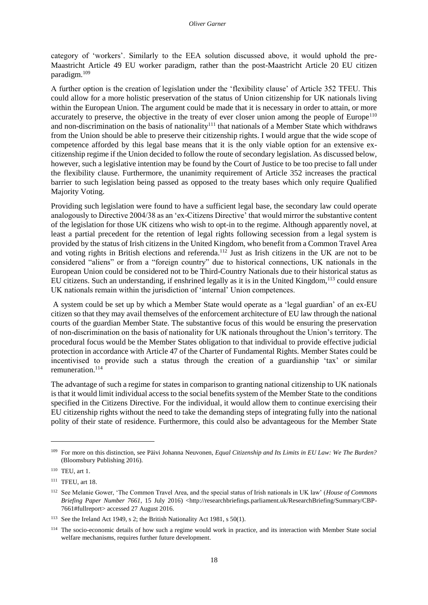category of 'workers'. Similarly to the EEA solution discussed above, it would uphold the pre-Maastricht Article 49 EU worker paradigm, rather than the post-Maastricht Article 20 EU citizen paradigm.<sup>109</sup>

A further option is the creation of legislation under the 'flexibility clause' of Article 352 TFEU. This could allow for a more holistic preservation of the status of Union citizenship for UK nationals living within the European Union. The argument could be made that it is necessary in order to attain, or more accurately to preserve, the objective in the treaty of ever closer union among the people of  $Europe<sup>110</sup>$ and non-discrimination on the basis of nationality<sup>111</sup> that nationals of a Member State which withdraws from the Union should be able to preserve their citizenship rights. I would argue that the wide scope of competence afforded by this legal base means that it is the only viable option for an extensive excitizenship regime if the Union decided to follow the route of secondary legislation. As discussed below, however, such a legislative intention may be found by the Court of Justice to be too precise to fall under the flexibility clause. Furthermore, the unanimity requirement of Article 352 increases the practical barrier to such legislation being passed as opposed to the treaty bases which only require Qualified Majority Voting.

Providing such legislation were found to have a sufficient legal base, the secondary law could operate analogously to Directive 2004/38 as an 'ex-Citizens Directive' that would mirror the substantive content of the legislation for those UK citizens who wish to opt-in to the regime. Although apparently novel, at least a partial precedent for the retention of legal rights following secession from a legal system is provided by the status of Irish citizens in the United Kingdom, who benefit from a Common Travel Area and voting rights in British elections and referenda.<sup>112</sup> Just as Irish citizens in the UK are not to be considered "aliens" or from a "foreign country" due to historical connections, UK nationals in the European Union could be considered not to be Third-Country Nationals due to their historical status as EU citizens. Such an understanding, if enshrined legally as it is in the United Kingdom,<sup>113</sup> could ensure UK nationals remain within the jurisdiction of 'internal' Union competences.

A system could be set up by which a Member State would operate as a 'legal guardian' of an ex-EU citizen so that they may avail themselves of the enforcement architecture of EU law through the national courts of the guardian Member State. The substantive focus of this would be ensuring the preservation of non-discrimination on the basis of nationality for UK nationals throughout the Union's territory. The procedural focus would be the Member States obligation to that individual to provide effective judicial protection in accordance with Article 47 of the Charter of Fundamental Rights. Member States could be incentivised to provide such a status through the creation of a guardianship 'tax' or similar remuneration<sup>114</sup>

The advantage of such a regime for states in comparison to granting national citizenship to UK nationals is that it would limit individual access to the social benefits system of the Member State to the conditions specified in the Citizens Directive. For the individual, it would allow them to continue exercising their EU citizenship rights without the need to take the demanding steps of integrating fully into the national polity of their state of residence. Furthermore, this could also be advantageous for the Member State

<sup>109</sup> For more on this distinction, see Päivi Johanna Neuvonen, *Equal Citizenship and Its Limits in EU Law: We The Burden?*  (Bloomsbury Publishing 2016).

<sup>110</sup> TEU, art 1.

<sup>111</sup> TFEU, art 18.

<sup>112</sup> See Melanie Gower, 'The Common Travel Area, and the special status of Irish nationals in UK law' (*House of Commons Briefing Paper Number 7661*, 15 July 2016) [<http://researchbriefings.parliament.uk/ResearchBriefing/Summary/CBP-](http://researchbriefings.parliament.uk/ResearchBriefing/Summary/CBP-7661#fullreport)[7661#fullreport>](http://researchbriefings.parliament.uk/ResearchBriefing/Summary/CBP-7661#fullreport) accessed 27 August 2016.

<sup>113</sup> See the Ireland Act 1949, s 2; the British Nationality Act 1981, s 50(1).

<sup>&</sup>lt;sup>114</sup> The socio-economic details of how such a regime would work in practice, and its interaction with Member State social welfare mechanisms, requires further future development.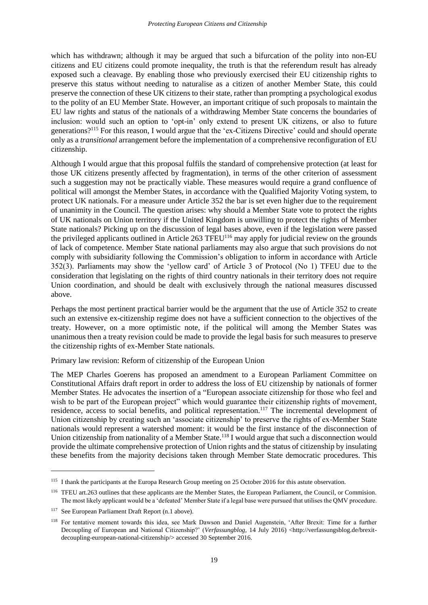which has withdrawn; although it may be argued that such a bifurcation of the polity into non-EU citizens and EU citizens could promote inequality, the truth is that the referendum result has already exposed such a cleavage. By enabling those who previously exercised their EU citizenship rights to preserve this status without needing to naturalise as a citizen of another Member State, this could preserve the connection of these UK citizens to their state, rather than prompting a psychological exodus to the polity of an EU Member State. However, an important critique of such proposals to maintain the EU law rights and status of the nationals of a withdrawing Member State concerns the boundaries of inclusion: would such an option to 'opt-in' only extend to present UK citizens, or also to future generations?<sup>115</sup> For this reason, I would argue that the 'ex-Citizens Directive' could and should operate only as a *transitional* arrangement before the implementation of a comprehensive reconfiguration of EU citizenship.

Although I would argue that this proposal fulfils the standard of comprehensive protection (at least for those UK citizens presently affected by fragmentation), in terms of the other criterion of assessment such a suggestion may not be practically viable. These measures would require a grand confluence of political will amongst the Member States, in accordance with the Qualified Majority Voting system, to protect UK nationals. For a measure under Article 352 the bar is set even higher due to the requirement of unanimity in the Council. The question arises: why should a Member State vote to protect the rights of UK nationals on Union territory if the United Kingdom is unwilling to protect the rights of Member State nationals? Picking up on the discussion of legal bases above, even if the legislation were passed the privileged applicants outlined in Article 263 TFEU<sup>116</sup> may apply for judicial review on the grounds of lack of competence. Member State national parliaments may also argue that such provisions do not comply with subsidiarity following the Commission's obligation to inform in accordance with Article 352(3). Parliaments may show the 'yellow card' of Article 3 of Protocol (No 1) TFEU due to the consideration that legislating on the rights of third country nationals in their territory does not require Union coordination, and should be dealt with exclusively through the national measures discussed above.

Perhaps the most pertinent practical barrier would be the argument that the use of Article 352 to create such an extensive ex-citizenship regime does not have a sufficient connection to the objectives of the treaty. However, on a more optimistic note, if the political will among the Member States was unanimous then a treaty revision could be made to provide the legal basis for such measures to preserve the citizenship rights of ex-Member State nationals.

<span id="page-26-0"></span>Primary law revision: Reform of citizenship of the European Union

The MEP Charles Goerens has proposed an amendment to a European Parliament Committee on Constitutional Affairs draft report in order to address the loss of EU citizenship by nationals of former Member States. He advocates the insertion of a "European associate citizenship for those who feel and wish to be part of the European project" which would guarantee their citizenship rights of movement, residence, access to social benefits, and political representation.<sup>117</sup> The incremental development of Union citizenship by creating such an 'associate citizenship' to preserve the rights of ex-Member State nationals would represent a watershed moment: it would be the first instance of the disconnection of Union citizenship from nationality of a Member State.<sup>118</sup> I would argue that such a disconnection would provide the ultimate comprehensive protection of Union rights and the status of citizenship by insulating these benefits from the majority decisions taken through Member State democratic procedures. This

 $\overline{\phantom{a}}$ 

<sup>&</sup>lt;sup>115</sup> I thank the participants at the Europa Research Group meeting on 25 October 2016 for this astute observation.

<sup>116</sup> TFEU art.263 outlines that these applicants are the Member States, the European Parliament, the Council, or Commision. The most likely applicant would be a 'defeated' Member State if a legal base were pursued that utilises the QMV procedure.

<sup>&</sup>lt;sup>117</sup> See European Parliament Draft Report (n.1 above).

<sup>118</sup> For tentative moment towards this idea, see Mark Dawson and Daniel Augenstein, 'After Brexit: Time for a further Decoupling of European and National Citizenship?' (*Verfassungblog*, 14 July 2016) <http://verfassungsblog.de/brexitdecoupling-european-national-citizenship/> accessed 30 September 2016.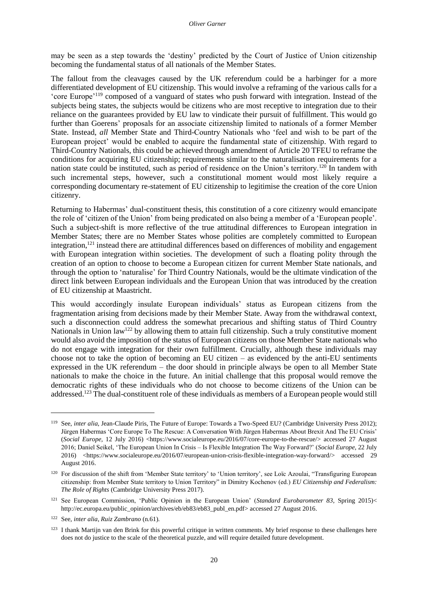may be seen as a step towards the 'destiny' predicted by the Court of Justice of Union citizenship becoming the fundamental status of all nationals of the Member States.

The fallout from the cleavages caused by the UK referendum could be a harbinger for a more differentiated development of EU citizenship. This would involve a reframing of the various calls for a 'core Europe'<sup>119</sup> composed of a vanguard of states who push forward with integration. Instead of the subjects being states, the subjects would be citizens who are most receptive to integration due to their reliance on the guarantees provided by EU law to vindicate their pursuit of fulfillment. This would go further than Goerens' proposals for an associate citizenship limited to nationals of a former Member State. Instead, *all* Member State and Third-Country Nationals who 'feel and wish to be part of the European project' would be enabled to acquire the fundamental state of citizenship. With regard to Third-Country Nationals, this could be achieved through amendment of Article 20 TFEU to reframe the conditions for acquiring EU citizenship; requirements similar to the naturalisation requirements for a nation state could be instituted, such as period of residence on the Union's territory.<sup>120</sup> In tandem with such incremental steps, however, such a constitutional moment would most likely require a corresponding documentary re-statement of EU citizenship to legitimise the creation of the core Union citizenry.

Returning to Habermas' dual-constituent thesis, this constitution of a core citizenry would emancipate the role of 'citizen of the Union' from being predicated on also being a member of a 'European people'. Such a subject-shift is more reflective of the true attitudinal differences to European integration in Member States; there are no Member States whose polities are completely committed to European integration,<sup>121</sup> instead there are attitudinal differences based on differences of mobility and engagement with European integration within societies. The development of such a floating polity through the creation of an option to choose to become a European citizen for current Member State nationals, and through the option to 'naturalise' for Third Country Nationals, would be the ultimate vindication of the direct link between European individuals and the European Union that was introduced by the creation of EU citizenship at Maastricht.

This would accordingly insulate European individuals' status as European citizens from the fragmentation arising from decisions made by their Member State. Away from the withdrawal context, such a disconnection could address the somewhat precarious and shifting status of Third Country Nationals in Union law<sup>122</sup> by allowing them to attain full citizenship. Such a truly constitutive moment would also avoid the imposition of the status of European citizens on those Member State nationals who do not engage with integration for their own fulfillment. Crucially, although these individuals may choose not to take the option of becoming an EU citizen – as evidenced by the anti-EU sentiments expressed in the UK referendum – the door should in principle always be open to all Member State nationals to make the choice in the future. An initial challenge that this proposal would remove the democratic rights of these individuals who do not choose to become citizens of the Union can be addressed.<sup>123</sup> The dual-constituent role of these individuals as members of a European people would still

<sup>119</sup> See, *inter alia*, Jean-Claude Piris, The Future of Europe: Towards a Two-Speed EU? (Cambridge University Press 2012); Jürgen Habermas 'Core Europe To The Rescue: A Conversation With Jürgen Habermas About Brexit And The EU Crisis' (*Social Europe,* 12 July 2016) <https://www.socialeurope.eu/2016/07/core-europe-to-the-rescue/> accessed 27 August 2016; Daniel Seikel, 'The European Union In Crisis – Is Flexible Integration The Way Forward?' (*Social Europe*, 22 July 2016) <https://www.socialeurope.eu/2016/07/european-union-crisis-flexible-integration-way-forward/> accessed 29 August 2016.

<sup>&</sup>lt;sup>120</sup> For discussion of the shift from 'Member State territory' to 'Union territory', see Loïc Azoulai, "Transfiguring European citizenship: from Member State territory to Union Territory" in Dimitry Kochenov (ed.) *EU Citizenship and Federalism: The Role of Rights* (Cambridge University Press 2017).

<sup>121</sup> See European Commission, 'Public Opinion in the European Union' (*Standard Eurobarometer 83*, Spring 2015)< [http://ec.europa.eu/public\\_opinion/archives/eb/eb83/eb83\\_publ\\_en.pdf>](http://ec.europa.eu/public_opinion/archives/eb/eb83/eb83_publ_en.pdf) accessed 27 August 2016.

<sup>122</sup> See, *inter alia*, *Ruiz Zambrano* (n.61).

<sup>&</sup>lt;sup>123</sup> I thank Martijn van den Brink for this powerful critique in written comments. My brief response to these challenges here does not do justice to the scale of the theoretical puzzle, and will require detailed future development.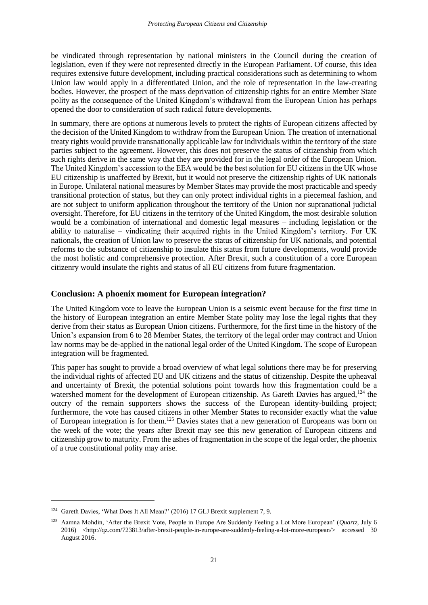be vindicated through representation by national ministers in the Council during the creation of legislation, even if they were not represented directly in the European Parliament. Of course, this idea requires extensive future development, including practical considerations such as determining to whom Union law would apply in a differentiated Union, and the role of representation in the law-creating bodies. However, the prospect of the mass deprivation of citizenship rights for an entire Member State polity as the consequence of the United Kingdom's withdrawal from the European Union has perhaps opened the door to consideration of such radical future developments.

In summary, there are options at numerous levels to protect the rights of European citizens affected by the decision of the United Kingdom to withdraw from the European Union. The creation of international treaty rights would provide transnationally applicable law for individuals within the territory of the state parties subject to the agreement. However, this does not preserve the status of citizenship from which such rights derive in the same way that they are provided for in the legal order of the European Union. The United Kingdom's accession to the EEA would be the best solution for EU citizens in the UK whose EU citizenship is unaffected by Brexit, but it would not preserve the citizenship rights of UK nationals in Europe. Unilateral national measures by Member States may provide the most practicable and speedy transitional protection of status, but they can only protect individual rights in a piecemeal fashion, and are not subject to uniform application throughout the territory of the Union nor supranational judicial oversight. Therefore, for EU citizens in the territory of the United Kingdom, the most desirable solution would be a combination of international and domestic legal measures – including legislation or the ability to naturalise – vindicating their acquired rights in the United Kingdom's territory. For UK nationals, the creation of Union law to preserve the status of citizenship for UK nationals, and potential reforms to the substance of citizenship to insulate this status from future developments, would provide the most holistic and comprehensive protection. After Brexit, such a constitution of a core European citizenry would insulate the rights and status of all EU citizens from future fragmentation.

## <span id="page-28-0"></span>**Conclusion: A phoenix moment for European integration?**

The United Kingdom vote to leave the European Union is a seismic event because for the first time in the history of European integration an entire Member State polity may lose the legal rights that they derive from their status as European Union citizens. Furthermore, for the first time in the history of the Union's expansion from 6 to 28 Member States, the territory of the legal order may contract and Union law norms may be de-applied in the national legal order of the United Kingdom. The scope of European integration will be fragmented.

This paper has sought to provide a broad overview of what legal solutions there may be for preserving the individual rights of affected EU and UK citizens and the status of citizenship. Despite the upheaval and uncertainty of Brexit, the potential solutions point towards how this fragmentation could be a watershed moment for the development of European citizenship. As Gareth Davies has argued,<sup>124</sup> the outcry of the remain supporters shows the success of the European identity-building project; furthermore, the vote has caused citizens in other Member States to reconsider exactly what the value of European integration is for them.<sup>125</sup> Davies states that a new generation of Europeans was born on the week of the vote; the years after Brexit may see this new generation of European citizens and citizenship grow to maturity. From the ashes of fragmentation in the scope of the legal order, the phoenix of a true constitutional polity may arise.

<sup>&</sup>lt;sup>124</sup> Gareth Davies, 'What Does It All Mean?' (2016) 17 GLJ Brexit supplement 7, 9.

<sup>125</sup> Aamna Mohdin, 'After the Brexit Vote, People in Europe Are Suddenly Feeling a Lot More European' (*Quartz*, July 6 2016) <http://qz.com/723813/after-brexit-people-in-europe-are-suddenly-feeling-a-lot-more-european/> accessed 30 August 2016.